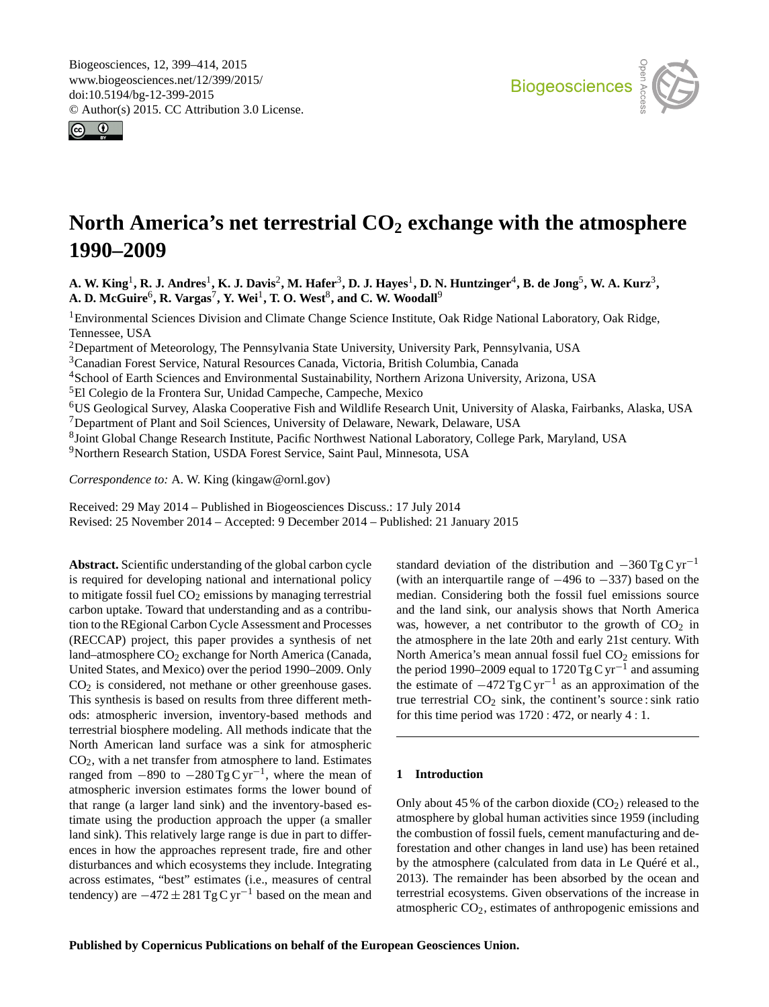<span id="page-0-1"></span>Biogeosciences, 12, 399–414, 2015 www.biogeosciences.net/12/399/2015/ doi:10.5194/bg-12-399-2015 © Author(s) 2015. CC Attribution 3.0 License.





# **North America's net terrestrial CO<sup>2</sup> exchange with the atmosphere 1990–2009**

A. W. King<sup>[1](#page-0-0)</sup>, R. J. Andres<sup>1</sup>, K. J. Davis<sup>[2](#page-0-0)</sup>, M. Hafer<sup>[3](#page-0-0)</sup>, D. J. Hayes<sup>1</sup>, D. N. Huntzinger<sup>[4](#page-0-0)</sup>, B. de Jong<sup>[5](#page-0-0)</sup>, W. A. Kurz<sup>3</sup>,  $\mathbf{A.}\ \mathbf{D.}\ \mathbf{McGuire}^6,\ \mathbf{R.}\ \mathbf{Vargas}^7,\ \mathbf{Y.}\ \mathbf{Wei}^1,\ \mathbf{T.}\ \mathbf{O.}\ \mathbf{West}^8,\ \mathbf{and}\ \mathbf{C.}\ \mathbf{W.}\ \mathbf{Woodall}^9$  $\mathbf{A.}\ \mathbf{D.}\ \mathbf{McGuire}^6,\ \mathbf{R.}\ \mathbf{Vargas}^7,\ \mathbf{Y.}\ \mathbf{Wei}^1,\ \mathbf{T.}\ \mathbf{O.}\ \mathbf{West}^8,\ \mathbf{and}\ \mathbf{C.}\ \mathbf{W.}\ \mathbf{Woodall}^9$  $\mathbf{A.}\ \mathbf{D.}\ \mathbf{McGuire}^6,\ \mathbf{R.}\ \mathbf{Vargas}^7,\ \mathbf{Y.}\ \mathbf{Wei}^1,\ \mathbf{T.}\ \mathbf{O.}\ \mathbf{West}^8,\ \mathbf{and}\ \mathbf{C.}\ \mathbf{W.}\ \mathbf{Woodall}^9$  $\mathbf{A.}\ \mathbf{D.}\ \mathbf{McGuire}^6,\ \mathbf{R.}\ \mathbf{Vargas}^7,\ \mathbf{Y.}\ \mathbf{Wei}^1,\ \mathbf{T.}\ \mathbf{O.}\ \mathbf{West}^8,\ \mathbf{and}\ \mathbf{C.}\ \mathbf{W.}\ \mathbf{Woodall}^9$  $\mathbf{A.}\ \mathbf{D.}\ \mathbf{McGuire}^6,\ \mathbf{R.}\ \mathbf{Vargas}^7,\ \mathbf{Y.}\ \mathbf{Wei}^1,\ \mathbf{T.}\ \mathbf{O.}\ \mathbf{West}^8,\ \mathbf{and}\ \mathbf{C.}\ \mathbf{W.}\ \mathbf{Woodall}^9$  $\mathbf{A.}\ \mathbf{D.}\ \mathbf{McGuire}^6,\ \mathbf{R.}\ \mathbf{Vargas}^7,\ \mathbf{Y.}\ \mathbf{Wei}^1,\ \mathbf{T.}\ \mathbf{O.}\ \mathbf{West}^8,\ \mathbf{and}\ \mathbf{C.}\ \mathbf{W.}\ \mathbf{Woodall}^9$  $\mathbf{A.}\ \mathbf{D.}\ \mathbf{McGuire}^6,\ \mathbf{R.}\ \mathbf{Vargas}^7,\ \mathbf{Y.}\ \mathbf{Wei}^1,\ \mathbf{T.}\ \mathbf{O.}\ \mathbf{West}^8,\ \mathbf{and}\ \mathbf{C.}\ \mathbf{W.}\ \mathbf{Woodall}^9$  $\mathbf{A.}\ \mathbf{D.}\ \mathbf{McGuire}^6,\ \mathbf{R.}\ \mathbf{Vargas}^7,\ \mathbf{Y.}\ \mathbf{Wei}^1,\ \mathbf{T.}\ \mathbf{O.}\ \mathbf{West}^8,\ \mathbf{and}\ \mathbf{C.}\ \mathbf{W.}\ \mathbf{Woodall}^9$  $\mathbf{A.}\ \mathbf{D.}\ \mathbf{McGuire}^6,\ \mathbf{R.}\ \mathbf{Vargas}^7,\ \mathbf{Y.}\ \mathbf{Wei}^1,\ \mathbf{T.}\ \mathbf{O.}\ \mathbf{West}^8,\ \mathbf{and}\ \mathbf{C.}\ \mathbf{W.}\ \mathbf{Woodall}^9$  $\mathbf{A.}\ \mathbf{D.}\ \mathbf{McGuire}^6,\ \mathbf{R.}\ \mathbf{Vargas}^7,\ \mathbf{Y.}\ \mathbf{Wei}^1,\ \mathbf{T.}\ \mathbf{O.}\ \mathbf{West}^8,\ \mathbf{and}\ \mathbf{C.}\ \mathbf{W.}\ \mathbf{Woodall}^9$ 

<sup>1</sup>Environmental Sciences Division and Climate Change Science Institute, Oak Ridge National Laboratory, Oak Ridge, Tennessee, USA

<sup>2</sup>Department of Meteorology, The Pennsylvania State University, University Park, Pennsylvania, USA

<sup>3</sup>Canadian Forest Service, Natural Resources Canada, Victoria, British Columbia, Canada

<sup>4</sup>School of Earth Sciences and Environmental Sustainability, Northern Arizona University, Arizona, USA

<sup>5</sup>El Colegio de la Frontera Sur, Unidad Campeche, Campeche, Mexico

<sup>6</sup>US Geological Survey, Alaska Cooperative Fish and Wildlife Research Unit, University of Alaska, Fairbanks, Alaska, USA <sup>7</sup>Department of Plant and Soil Sciences, University of Delaware, Newark, Delaware, USA

8 Joint Global Change Research Institute, Pacific Northwest National Laboratory, College Park, Maryland, USA

<sup>9</sup>Northern Research Station, USDA Forest Service, Saint Paul, Minnesota, USA

*Correspondence to:* A. W. King (kingaw@ornl.gov)

Received: 29 May 2014 – Published in Biogeosciences Discuss.: 17 July 2014 Revised: 25 November 2014 – Accepted: 9 December 2014 – Published: 21 January 2015

<span id="page-0-0"></span>**Abstract.** Scientific understanding of the global carbon cycle is required for developing national and international policy to mitigate fossil fuel  $CO<sub>2</sub>$  emissions by managing terrestrial carbon uptake. Toward that understanding and as a contribution to the REgional Carbon Cycle Assessment and Processes (RECCAP) project, this paper provides a synthesis of net land–atmosphere CO<sub>2</sub> exchange for North America (Canada, United States, and Mexico) over the period 1990–2009. Only  $CO<sub>2</sub>$  is considered, not methane or other greenhouse gases. This synthesis is based on results from three different methods: atmospheric inversion, inventory-based methods and terrestrial biosphere modeling. All methods indicate that the North American land surface was a sink for atmospheric  $CO<sub>2</sub>$ , with a net transfer from atmosphere to land. Estimates ranged from  $-890$  to  $-280$  Tg C yr<sup>-1</sup>, where the mean of atmospheric inversion estimates forms the lower bound of that range (a larger land sink) and the inventory-based estimate using the production approach the upper (a smaller land sink). This relatively large range is due in part to differences in how the approaches represent trade, fire and other disturbances and which ecosystems they include. Integrating across estimates, "best" estimates (i.e., measures of central tendency) are  $-472 \pm 281$  Tg C yr<sup>-1</sup> based on the mean and

standard deviation of the distribution and  $-360$  Tg C yr<sup>-1</sup> (with an interquartile range of  $-496$  to  $-337$ ) based on the median. Considering both the fossil fuel emissions source and the land sink, our analysis shows that North America was, however, a net contributor to the growth of  $CO<sub>2</sub>$  in the atmosphere in the late 20th and early 21st century. With North America's mean annual fossil fuel  $CO<sub>2</sub>$  emissions for the period 1990–2009 equal to 1720 Tg C yr<sup>-1</sup> and assuming the estimate of  $-472$  Tg C yr<sup>-1</sup> as an approximation of the true terrestrial  $CO<sub>2</sub>$  sink, the continent's source : sink ratio for this time period was  $1720:472$ , or nearly  $4:1$ .

## **1 Introduction**

Only about 45 % of the carbon dioxide  $(CO<sub>2</sub>)$  released to the atmosphere by global human activities since 1959 (including the combustion of fossil fuels, cement manufacturing and deforestation and other changes in land use) has been retained by the atmosphere (calculated from data in Le Quéré et al., 2013). The remainder has been absorbed by the ocean and terrestrial ecosystems. Given observations of the increase in atmospheric  $CO<sub>2</sub>$ , estimates of anthropogenic emissions and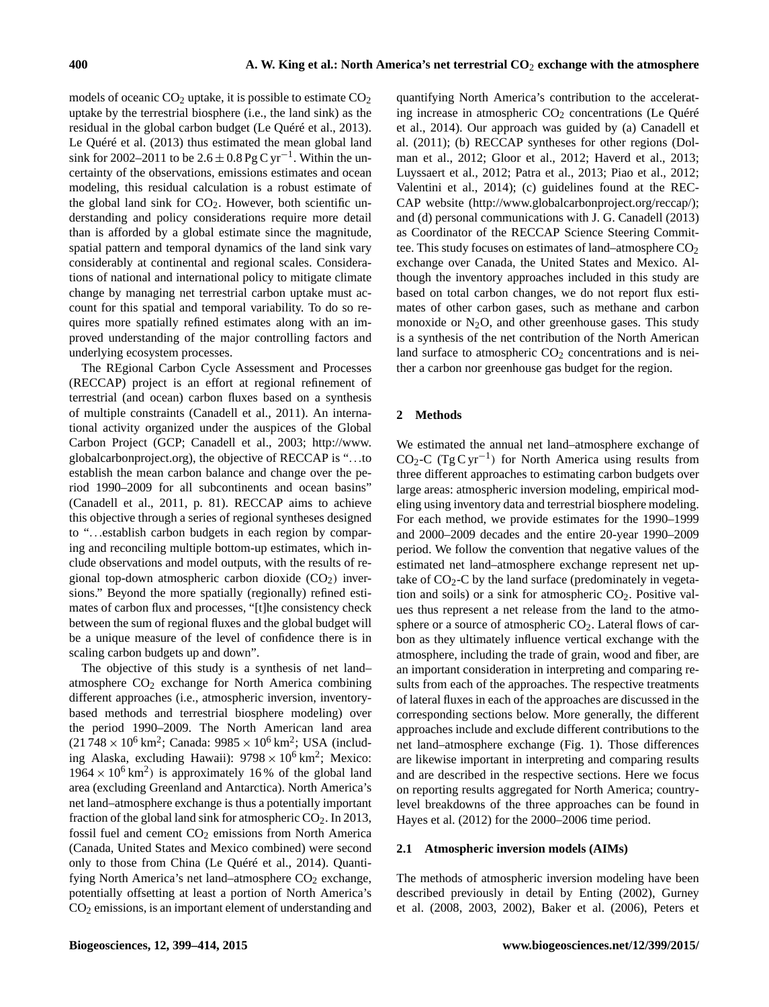models of oceanic  $CO<sub>2</sub>$  uptake, it is possible to estimate  $CO<sub>2</sub>$ uptake by the terrestrial biosphere (i.e., the land sink) as the residual in the global carbon budget (Le Quéré et al., 2013). Le Quéré et al. (2013) thus estimated the mean global land sink for 2002–2011 to be  $2.6 \pm 0.8$  Pg C yr<sup>-1</sup>. Within the uncertainty of the observations, emissions estimates and ocean modeling, this residual calculation is a robust estimate of the global land sink for  $CO<sub>2</sub>$ . However, both scientific understanding and policy considerations require more detail than is afforded by a global estimate since the magnitude, spatial pattern and temporal dynamics of the land sink vary considerably at continental and regional scales. Considerations of national and international policy to mitigate climate change by managing net terrestrial carbon uptake must account for this spatial and temporal variability. To do so requires more spatially refined estimates along with an improved understanding of the major controlling factors and underlying ecosystem processes.

The REgional Carbon Cycle Assessment and Processes (RECCAP) project is an effort at regional refinement of terrestrial (and ocean) carbon fluxes based on a synthesis of multiple constraints (Canadell et al., 2011). An international activity organized under the auspices of the Global Carbon Project (GCP; Canadell et al., 2003; [http://www.](http://www.globalcarbonproject.org) [globalcarbonproject.org\)](http://www.globalcarbonproject.org), the objective of RECCAP is "...to establish the mean carbon balance and change over the period 1990–2009 for all subcontinents and ocean basins" (Canadell et al., 2011, p. 81). RECCAP aims to achieve this objective through a series of regional syntheses designed to "...establish carbon budgets in each region by comparing and reconciling multiple bottom-up estimates, which include observations and model outputs, with the results of regional top-down atmospheric carbon dioxide  $(CO<sub>2</sub>)$  inversions." Beyond the more spatially (regionally) refined estimates of carbon flux and processes, "[t]he consistency check between the sum of regional fluxes and the global budget will be a unique measure of the level of confidence there is in scaling carbon budgets up and down".

The objective of this study is a synthesis of net land– atmosphere  $CO<sub>2</sub>$  exchange for North America combining different approaches (i.e., atmospheric inversion, inventorybased methods and terrestrial biosphere modeling) over the period 1990–2009. The North American land area  $(21748 \times 10^6 \text{ km}^2)$ ; Canada:  $9985 \times 10^6 \text{ km}^2$ ; USA (including Alaska, excluding Hawaii):  $9798 \times 10^6$  km<sup>2</sup>; Mexico:  $1964 \times 10^6$  km<sup>2</sup>) is approximately 16% of the global land area (excluding Greenland and Antarctica). North America's net land–atmosphere exchange is thus a potentially important fraction of the global land sink for atmospheric  $CO<sub>2</sub>$ . In 2013, fossil fuel and cement  $CO<sub>2</sub>$  emissions from North America (Canada, United States and Mexico combined) were second only to those from China (Le Quéré et al., 2014). Quantifying North America's net land–atmosphere  $CO<sub>2</sub>$  exchange, potentially offsetting at least a portion of North America's CO<sup>2</sup> emissions, is an important element of understanding and

quantifying North America's contribution to the accelerating increase in atmospheric  $CO<sub>2</sub>$  concentrations (Le Quéré et al., 2014). Our approach was guided by (a) Canadell et al. (2011); (b) RECCAP syntheses for other regions (Dolman et al., 2012; Gloor et al., 2012; Haverd et al., 2013; Luyssaert et al., 2012; Patra et al., 2013; Piao et al., 2012; Valentini et al., 2014); (c) guidelines found at the REC-CAP website [\(http://www.globalcarbonproject.org/reccap/\)](http://www.globalcarbonproject.org/reccap/); and (d) personal communications with J. G. Canadell (2013) as Coordinator of the RECCAP Science Steering Committee. This study focuses on estimates of land–atmosphere  $CO<sub>2</sub>$ exchange over Canada, the United States and Mexico. Although the inventory approaches included in this study are based on total carbon changes, we do not report flux estimates of other carbon gases, such as methane and carbon monoxide or  $N_2O$ , and other greenhouse gases. This study is a synthesis of the net contribution of the North American land surface to atmospheric  $CO<sub>2</sub>$  concentrations and is neither a carbon nor greenhouse gas budget for the region.

# **2 Methods**

We estimated the annual net land–atmosphere exchange of CO2-C (Tg C yr−<sup>1</sup> ) for North America using results from three different approaches to estimating carbon budgets over large areas: atmospheric inversion modeling, empirical modeling using inventory data and terrestrial biosphere modeling. For each method, we provide estimates for the 1990–1999 and 2000–2009 decades and the entire 20-year 1990–2009 period. We follow the convention that negative values of the estimated net land–atmosphere exchange represent net uptake of  $CO<sub>2</sub>-C$  by the land surface (predominately in vegetation and soils) or a sink for atmospheric  $CO<sub>2</sub>$ . Positive values thus represent a net release from the land to the atmosphere or a source of atmospheric  $CO<sub>2</sub>$ . Lateral flows of carbon as they ultimately influence vertical exchange with the atmosphere, including the trade of grain, wood and fiber, are an important consideration in interpreting and comparing results from each of the approaches. The respective treatments of lateral fluxes in each of the approaches are discussed in the corresponding sections below. More generally, the different approaches include and exclude different contributions to the net land–atmosphere exchange (Fig. 1). Those differences are likewise important in interpreting and comparing results and are described in the respective sections. Here we focus on reporting results aggregated for North America; countrylevel breakdowns of the three approaches can be found in Hayes et al. (2012) for the 2000–2006 time period.

# **2.1 Atmospheric inversion models (AIMs)**

The methods of atmospheric inversion modeling have been described previously in detail by Enting (2002), Gurney et al. (2008, 2003, 2002), Baker et al. (2006), Peters et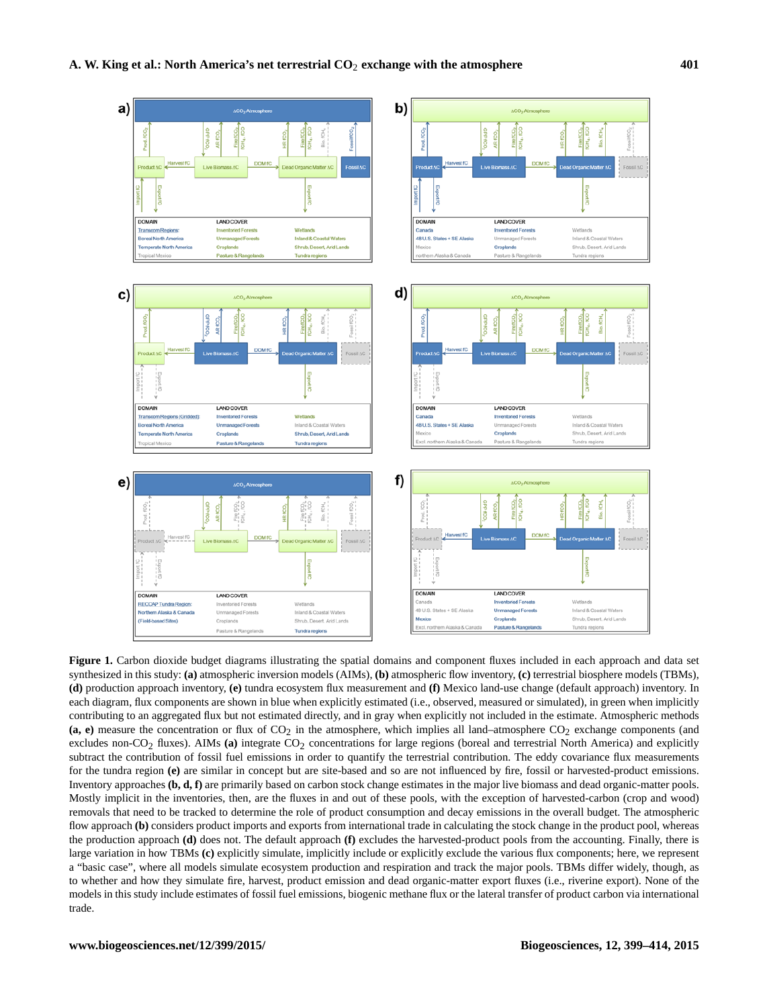

**Figure 1.** Carbon dioxide budget diagrams illustrating the spatial domains and component fluxes included in each approach and data set synthesized in this study: **(a)** atmospheric inversion models (AIMs), **(b)** atmospheric flow inventory, **(c)** terrestrial biosphere models (TBMs), **(d)** production approach inventory, **(e)** tundra ecosystem flux measurement and **(f)** Mexico land-use change (default approach) inventory. In each diagram, flux components are shown in blue when explicitly estimated (i.e., observed, measured or simulated), in green when implicitly contributing to an aggregated flux but not estimated directly, and in gray when explicitly not included in the estimate. Atmospheric methods (a, e) measure the concentration or flux of  $CO<sub>2</sub>$  in the atmosphere, which implies all land–atmosphere  $CO<sub>2</sub>$  exchange components (and excludes non-CO<sub>2</sub> fluxes). AIMs (a) integrate CO<sub>2</sub> concentrations for large regions (boreal and terrestrial North America) and explicitly subtract the contribution of fossil fuel emissions in order to quantify the terrestrial contribution. The eddy covariance flux measurements for the tundra region **(e)** are similar in concept but are site-based and so are not influenced by fire, fossil or harvested-product emissions. Inventory approaches **(b, d, f)** are primarily based on carbon stock change estimates in the major live biomass and dead organic-matter pools. Mostly implicit in the inventories, then, are the fluxes in and out of these pools, with the exception of harvested-carbon (crop and wood) removals that need to be tracked to determine the role of product consumption and decay emissions in the overall budget. The atmospheric flow approach **(b)** considers product imports and exports from international trade in calculating the stock change in the product pool, whereas the production approach **(d)** does not. The default approach **(f)** excludes the harvested-product pools from the accounting. Finally, there is large variation in how TBMs **(c)** explicitly simulate, implicitly include or explicitly exclude the various flux components; here, we represent a "basic case", where all models simulate ecosystem production and respiration and track the major pools. TBMs differ widely, though, as to whether and how they simulate fire, harvest, product emission and dead organic-matter export fluxes (i.e., riverine export). None of the models in this study include estimates of fossil fuel emissions, biogenic methane flux or the lateral transfer of product carbon via international trade.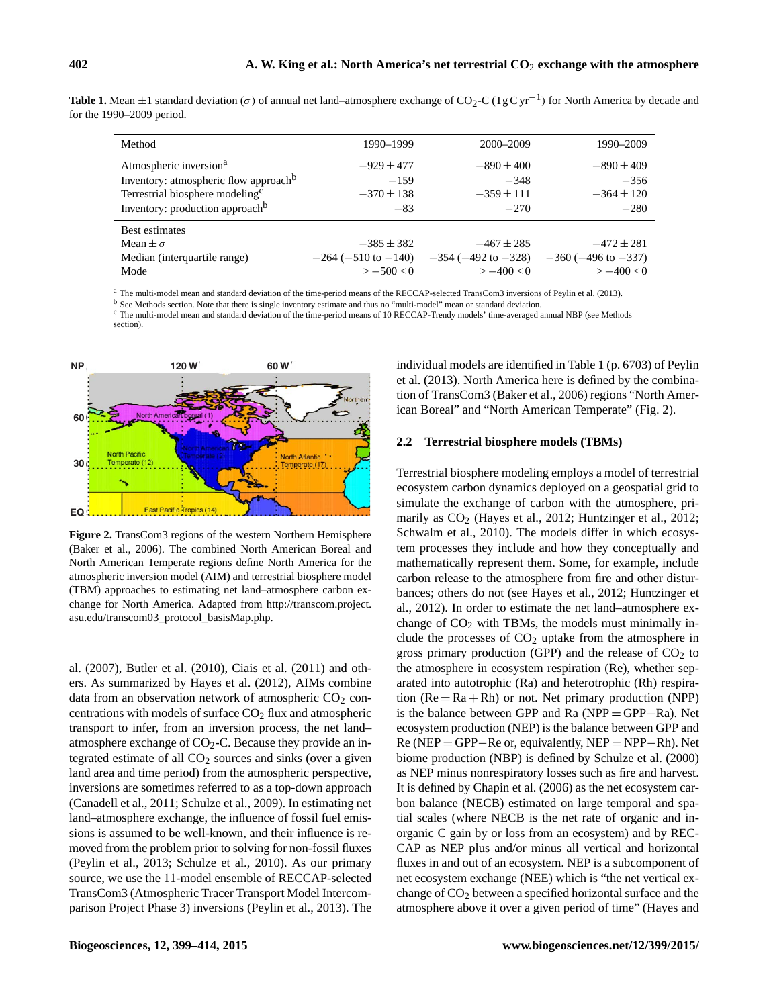| <b>Table 1.</b> Mean $\pm$ 1 standard deviation ( $\sigma$ ) of annual net land–atmosphere exchange of CO <sub>2</sub> -C (TgC yr <sup>-1</sup> ) for North America by decade and |  |
|-----------------------------------------------------------------------------------------------------------------------------------------------------------------------------------|--|
| for the $1990-2009$ period.                                                                                                                                                       |  |

| Method                                            | 1990–1999                   | 2000–2009                   | 1990-2009                   |
|---------------------------------------------------|-----------------------------|-----------------------------|-----------------------------|
| Atmospheric inversion <sup>a</sup>                | $-929 \pm 477$              | $-890 \pm 400$              | $-890 \pm 409$              |
| Inventory: atmospheric flow approach <sup>b</sup> | $-159$                      | $-348$                      | $-356$                      |
| Terrestrial biosphere modeling <sup>c</sup>       | $-370 \pm 138$              | $-359 \pm 111$              | $-364 \pm 120$              |
| Inventory: production approach <sup>b</sup>       | $-83$                       | $-270$                      | $-280$                      |
| Best estimates                                    |                             |                             |                             |
| Mean $\pm \sigma$                                 | $-385 \pm 382$              | $-467 \pm 285$              | $-472 \pm 281$              |
| Median (interquartile range)                      | $-264$ ( $-510$ to $-140$ ) | $-354$ ( $-492$ to $-328$ ) | $-360$ ( $-496$ to $-337$ ) |
| Mode                                              | $> -500 < 0$                | $>-400 < 0$                 | $>-400 < 0$                 |

<sup>a</sup> The multi-model mean and standard deviation of the time-period means of the RECCAP-selected TransCom3 inversions of Peylin et al. (2013).

<sup>b</sup> See Methods section. Note that there is single inventory estimate and thus no "multi-model" mean or standard deviation.

<sup>c</sup> The multi-model mean and standard deviation of the time-period means of 10 RECCAP-Trendy models' time-averaged annual NBP (see Methods section).



**Figure 2.** TransCom3 regions of the western Northern Hemisphere (Baker et al., 2006). The combined North American Boreal and North American Temperate regions define North America for the atmospheric inversion model (AIM) and terrestrial biosphere model (TBM) approaches to estimating net land–atmosphere carbon exchange for North America. Adapted from [http://transcom.project.](http://transcom.project.asu.edu/transcom03_protocol_basisMap.php) [asu.edu/transcom03\\_protocol\\_basisMap.php.](http://transcom.project.asu.edu/transcom03_protocol_basisMap.php)

al. (2007), Butler et al. (2010), Ciais et al. (2011) and others. As summarized by Hayes et al. (2012), AIMs combine data from an observation network of atmospheric  $CO<sub>2</sub>$  concentrations with models of surface  $CO<sub>2</sub>$  flux and atmospheric transport to infer, from an inversion process, the net land– atmosphere exchange of  $CO<sub>2</sub>-C$ . Because they provide an integrated estimate of all  $CO<sub>2</sub>$  sources and sinks (over a given land area and time period) from the atmospheric perspective, inversions are sometimes referred to as a top-down approach (Canadell et al., 2011; Schulze et al., 2009). In estimating net land–atmosphere exchange, the influence of fossil fuel emissions is assumed to be well-known, and their influence is removed from the problem prior to solving for non-fossil fluxes (Peylin et al., 2013; Schulze et al., 2010). As our primary source, we use the 11-model ensemble of RECCAP-selected TransCom3 (Atmospheric Tracer Transport Model Intercomparison Project Phase 3) inversions (Peylin et al., 2013). The individual models are identified in Table 1 (p. 6703) of Peylin et al. (2013). North America here is defined by the combination of TransCom3 (Baker et al., 2006) regions "North American Boreal" and "North American Temperate" (Fig. 2).

## **2.2 Terrestrial biosphere models (TBMs)**

Terrestrial biosphere modeling employs a model of terrestrial ecosystem carbon dynamics deployed on a geospatial grid to simulate the exchange of carbon with the atmosphere, primarily as  $CO<sub>2</sub>$  (Hayes et al., 2012; Huntzinger et al., 2012; Schwalm et al., 2010). The models differ in which ecosystem processes they include and how they conceptually and mathematically represent them. Some, for example, include carbon release to the atmosphere from fire and other disturbances; others do not (see Hayes et al., 2012; Huntzinger et al., 2012). In order to estimate the net land–atmosphere exchange of  $CO<sub>2</sub>$  with TBMs, the models must minimally include the processes of  $CO<sub>2</sub>$  uptake from the atmosphere in gross primary production (GPP) and the release of  $CO<sub>2</sub>$  to the atmosphere in ecosystem respiration (Re), whether separated into autotrophic (Ra) and heterotrophic (Rh) respiration  $(Re = Ra + Rh)$  or not. Net primary production  $(NPP)$ is the balance between GPP and Ra (NPP = GPP−Ra). Net ecosystem production (NEP) is the balance between GPP and Re (NEP = GPP−Re or, equivalently, NEP = NPP−Rh). Net biome production (NBP) is defined by Schulze et al. (2000) as NEP minus nonrespiratory losses such as fire and harvest. It is defined by Chapin et al. (2006) as the net ecosystem carbon balance (NECB) estimated on large temporal and spatial scales (where NECB is the net rate of organic and inorganic C gain by or loss from an ecosystem) and by REC-CAP as NEP plus and/or minus all vertical and horizontal fluxes in and out of an ecosystem. NEP is a subcomponent of net ecosystem exchange (NEE) which is "the net vertical exchange of  $CO<sub>2</sub>$  between a specified horizontal surface and the atmosphere above it over a given period of time" (Hayes and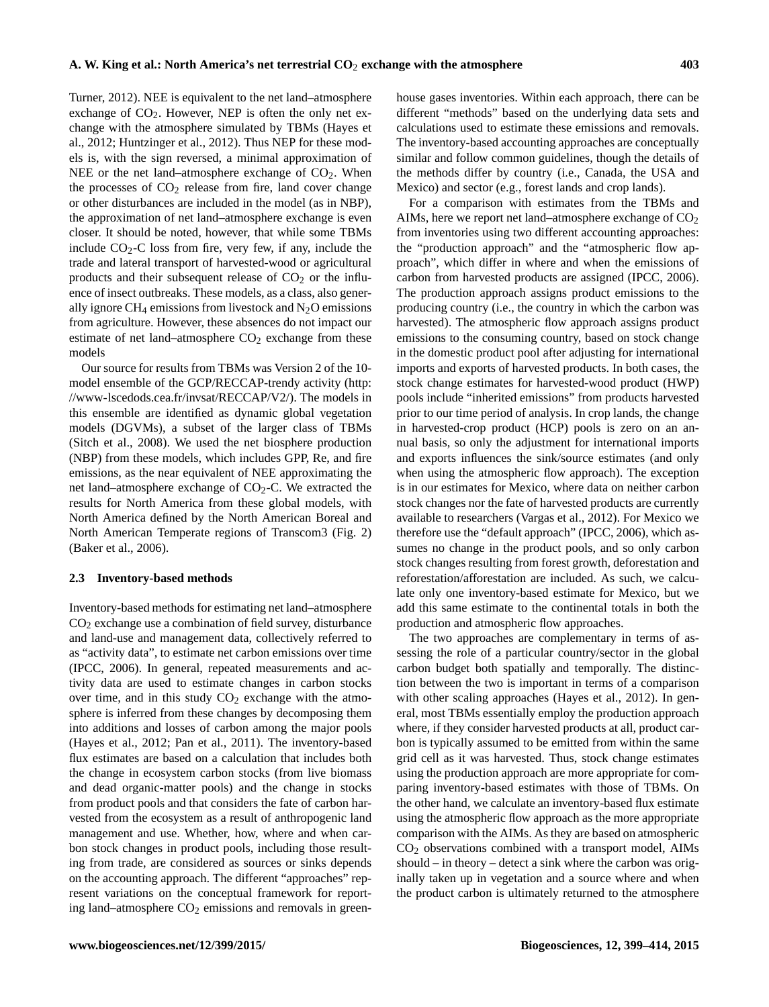Turner, 2012). NEE is equivalent to the net land–atmosphere exchange of  $CO<sub>2</sub>$ . However, NEP is often the only net exchange with the atmosphere simulated by TBMs (Hayes et al., 2012; Huntzinger et al., 2012). Thus NEP for these models is, with the sign reversed, a minimal approximation of NEE or the net land–atmosphere exchange of  $CO<sub>2</sub>$ . When the processes of  $CO<sub>2</sub>$  release from fire, land cover change or other disturbances are included in the model (as in NBP), the approximation of net land–atmosphere exchange is even closer. It should be noted, however, that while some TBMs include  $CO<sub>2</sub>-C$  loss from fire, very few, if any, include the trade and lateral transport of harvested-wood or agricultural products and their subsequent release of  $CO<sub>2</sub>$  or the influence of insect outbreaks. These models, as a class, also generally ignore CH<sub>4</sub> emissions from livestock and  $N_2O$  emissions from agriculture. However, these absences do not impact our estimate of net land–atmosphere  $CO<sub>2</sub>$  exchange from these models

Our source for results from TBMs was Version 2 of the 10 model ensemble of the GCP/RECCAP-trendy activity [\(http:](http://www-lscedods.cea.fr/invsat/RECCAP/V2/) [//www-lscedods.cea.fr/invsat/RECCAP/V2/\)](http://www-lscedods.cea.fr/invsat/RECCAP/V2/). The models in this ensemble are identified as dynamic global vegetation models (DGVMs), a subset of the larger class of TBMs (Sitch et al., 2008). We used the net biosphere production (NBP) from these models, which includes GPP, Re, and fire emissions, as the near equivalent of NEE approximating the net land–atmosphere exchange of  $CO<sub>2</sub>-C$ . We extracted the results for North America from these global models, with North America defined by the North American Boreal and North American Temperate regions of Transcom3 (Fig. 2) (Baker et al., 2006).

#### **2.3 Inventory-based methods**

Inventory-based methods for estimating net land–atmosphere  $CO<sub>2</sub>$  exchange use a combination of field survey, disturbance and land-use and management data, collectively referred to as "activity data", to estimate net carbon emissions over time (IPCC, 2006). In general, repeated measurements and activity data are used to estimate changes in carbon stocks over time, and in this study  $CO<sub>2</sub>$  exchange with the atmosphere is inferred from these changes by decomposing them into additions and losses of carbon among the major pools (Hayes et al., 2012; Pan et al., 2011). The inventory-based flux estimates are based on a calculation that includes both the change in ecosystem carbon stocks (from live biomass and dead organic-matter pools) and the change in stocks from product pools and that considers the fate of carbon harvested from the ecosystem as a result of anthropogenic land management and use. Whether, how, where and when carbon stock changes in product pools, including those resulting from trade, are considered as sources or sinks depends on the accounting approach. The different "approaches" represent variations on the conceptual framework for reporting land–atmosphere  $CO<sub>2</sub>$  emissions and removals in greenhouse gases inventories. Within each approach, there can be different "methods" based on the underlying data sets and calculations used to estimate these emissions and removals. The inventory-based accounting approaches are conceptually similar and follow common guidelines, though the details of the methods differ by country (i.e., Canada, the USA and Mexico) and sector (e.g., forest lands and crop lands).

For a comparison with estimates from the TBMs and AIMs, here we report net land–atmosphere exchange of  $CO<sub>2</sub>$ from inventories using two different accounting approaches: the "production approach" and the "atmospheric flow approach", which differ in where and when the emissions of carbon from harvested products are assigned (IPCC, 2006). The production approach assigns product emissions to the producing country (i.e., the country in which the carbon was harvested). The atmospheric flow approach assigns product emissions to the consuming country, based on stock change in the domestic product pool after adjusting for international imports and exports of harvested products. In both cases, the stock change estimates for harvested-wood product (HWP) pools include "inherited emissions" from products harvested prior to our time period of analysis. In crop lands, the change in harvested-crop product (HCP) pools is zero on an annual basis, so only the adjustment for international imports and exports influences the sink/source estimates (and only when using the atmospheric flow approach). The exception is in our estimates for Mexico, where data on neither carbon stock changes nor the fate of harvested products are currently available to researchers (Vargas et al., 2012). For Mexico we therefore use the "default approach" (IPCC, 2006), which assumes no change in the product pools, and so only carbon stock changes resulting from forest growth, deforestation and reforestation/afforestation are included. As such, we calculate only one inventory-based estimate for Mexico, but we add this same estimate to the continental totals in both the production and atmospheric flow approaches.

The two approaches are complementary in terms of assessing the role of a particular country/sector in the global carbon budget both spatially and temporally. The distinction between the two is important in terms of a comparison with other scaling approaches (Hayes et al., 2012). In general, most TBMs essentially employ the production approach where, if they consider harvested products at all, product carbon is typically assumed to be emitted from within the same grid cell as it was harvested. Thus, stock change estimates using the production approach are more appropriate for comparing inventory-based estimates with those of TBMs. On the other hand, we calculate an inventory-based flux estimate using the atmospheric flow approach as the more appropriate comparison with the AIMs. As they are based on atmospheric CO<sup>2</sup> observations combined with a transport model, AIMs should – in theory – detect a sink where the carbon was originally taken up in vegetation and a source where and when the product carbon is ultimately returned to the atmosphere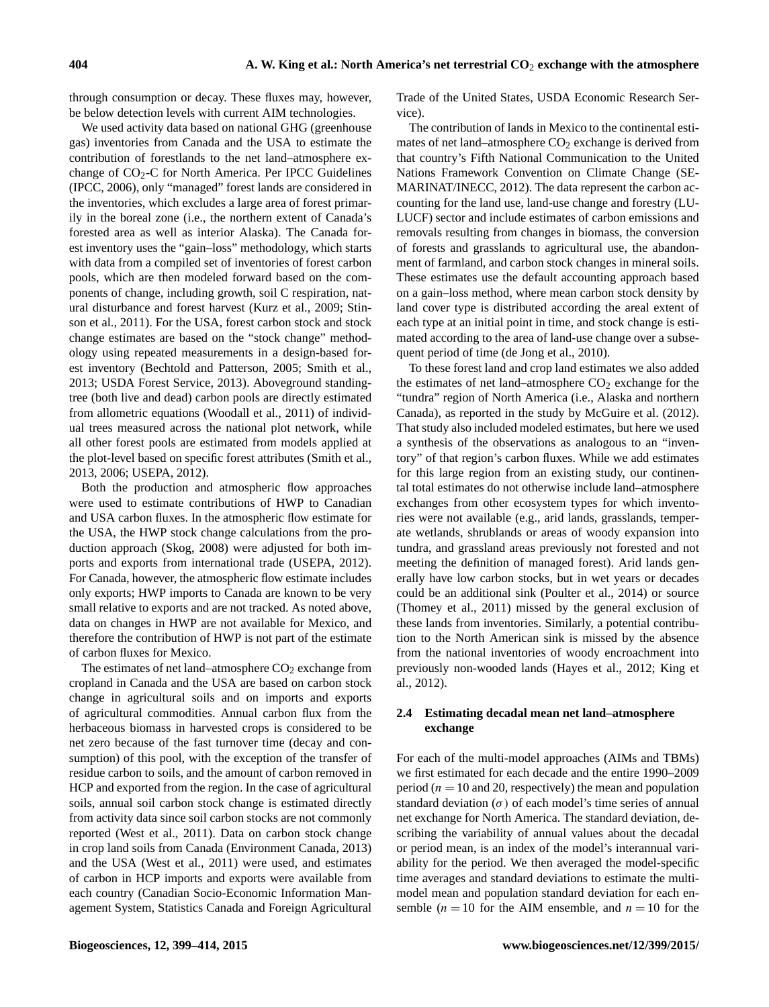through consumption or decay. These fluxes may, however, be below detection levels with current AIM technologies.

We used activity data based on national GHG (greenhouse gas) inventories from Canada and the USA to estimate the contribution of forestlands to the net land–atmosphere exchange of  $CO<sub>2</sub>-C$  for North America. Per IPCC Guidelines (IPCC, 2006), only "managed" forest lands are considered in the inventories, which excludes a large area of forest primarily in the boreal zone (i.e., the northern extent of Canada's forested area as well as interior Alaska). The Canada forest inventory uses the "gain–loss" methodology, which starts with data from a compiled set of inventories of forest carbon pools, which are then modeled forward based on the components of change, including growth, soil C respiration, natural disturbance and forest harvest (Kurz et al., 2009; Stinson et al., 2011). For the USA, forest carbon stock and stock change estimates are based on the "stock change" methodology using repeated measurements in a design-based forest inventory (Bechtold and Patterson, 2005; Smith et al., 2013; USDA Forest Service, 2013). Aboveground standingtree (both live and dead) carbon pools are directly estimated from allometric equations (Woodall et al., 2011) of individual trees measured across the national plot network, while all other forest pools are estimated from models applied at the plot-level based on specific forest attributes (Smith et al., 2013, 2006; USEPA, 2012).

Both the production and atmospheric flow approaches were used to estimate contributions of HWP to Canadian and USA carbon fluxes. In the atmospheric flow estimate for the USA, the HWP stock change calculations from the production approach (Skog, 2008) were adjusted for both imports and exports from international trade (USEPA, 2012). For Canada, however, the atmospheric flow estimate includes only exports; HWP imports to Canada are known to be very small relative to exports and are not tracked. As noted above, data on changes in HWP are not available for Mexico, and therefore the contribution of HWP is not part of the estimate of carbon fluxes for Mexico.

The estimates of net land–atmosphere  $CO<sub>2</sub>$  exchange from cropland in Canada and the USA are based on carbon stock change in agricultural soils and on imports and exports of agricultural commodities. Annual carbon flux from the herbaceous biomass in harvested crops is considered to be net zero because of the fast turnover time (decay and consumption) of this pool, with the exception of the transfer of residue carbon to soils, and the amount of carbon removed in HCP and exported from the region. In the case of agricultural soils, annual soil carbon stock change is estimated directly from activity data since soil carbon stocks are not commonly reported (West et al., 2011). Data on carbon stock change in crop land soils from Canada (Environment Canada, 2013) and the USA (West et al., 2011) were used, and estimates of carbon in HCP imports and exports were available from each country (Canadian Socio-Economic Information Management System, Statistics Canada and Foreign Agricultural

Trade of the United States, USDA Economic Research Service).

The contribution of lands in Mexico to the continental estimates of net land–atmosphere  $CO<sub>2</sub>$  exchange is derived from that country's Fifth National Communication to the United Nations Framework Convention on Climate Change (SE-MARINAT/INECC, 2012). The data represent the carbon accounting for the land use, land-use change and forestry (LU-LUCF) sector and include estimates of carbon emissions and removals resulting from changes in biomass, the conversion of forests and grasslands to agricultural use, the abandonment of farmland, and carbon stock changes in mineral soils. These estimates use the default accounting approach based on a gain–loss method, where mean carbon stock density by land cover type is distributed according the areal extent of each type at an initial point in time, and stock change is estimated according to the area of land-use change over a subsequent period of time (de Jong et al., 2010).

To these forest land and crop land estimates we also added the estimates of net land–atmosphere  $CO<sub>2</sub>$  exchange for the "tundra" region of North America (i.e., Alaska and northern Canada), as reported in the study by McGuire et al. (2012). That study also included modeled estimates, but here we used a synthesis of the observations as analogous to an "inventory" of that region's carbon fluxes. While we add estimates for this large region from an existing study, our continental total estimates do not otherwise include land–atmosphere exchanges from other ecosystem types for which inventories were not available (e.g., arid lands, grasslands, temperate wetlands, shrublands or areas of woody expansion into tundra, and grassland areas previously not forested and not meeting the definition of managed forest). Arid lands generally have low carbon stocks, but in wet years or decades could be an additional sink (Poulter et al., 2014) or source (Thomey et al., 2011) missed by the general exclusion of these lands from inventories. Similarly, a potential contribution to the North American sink is missed by the absence from the national inventories of woody encroachment into previously non-wooded lands (Hayes et al., 2012; King et al., 2012).

# **2.4 Estimating decadal mean net land–atmosphere exchange**

For each of the multi-model approaches (AIMs and TBMs) we first estimated for each decade and the entire 1990–2009 period ( $n = 10$  and 20, respectively) the mean and population standard deviation  $(\sigma)$  of each model's time series of annual net exchange for North America. The standard deviation, describing the variability of annual values about the decadal or period mean, is an index of the model's interannual variability for the period. We then averaged the model-specific time averages and standard deviations to estimate the multimodel mean and population standard deviation for each ensemble ( $n = 10$  for the AIM ensemble, and  $n = 10$  for the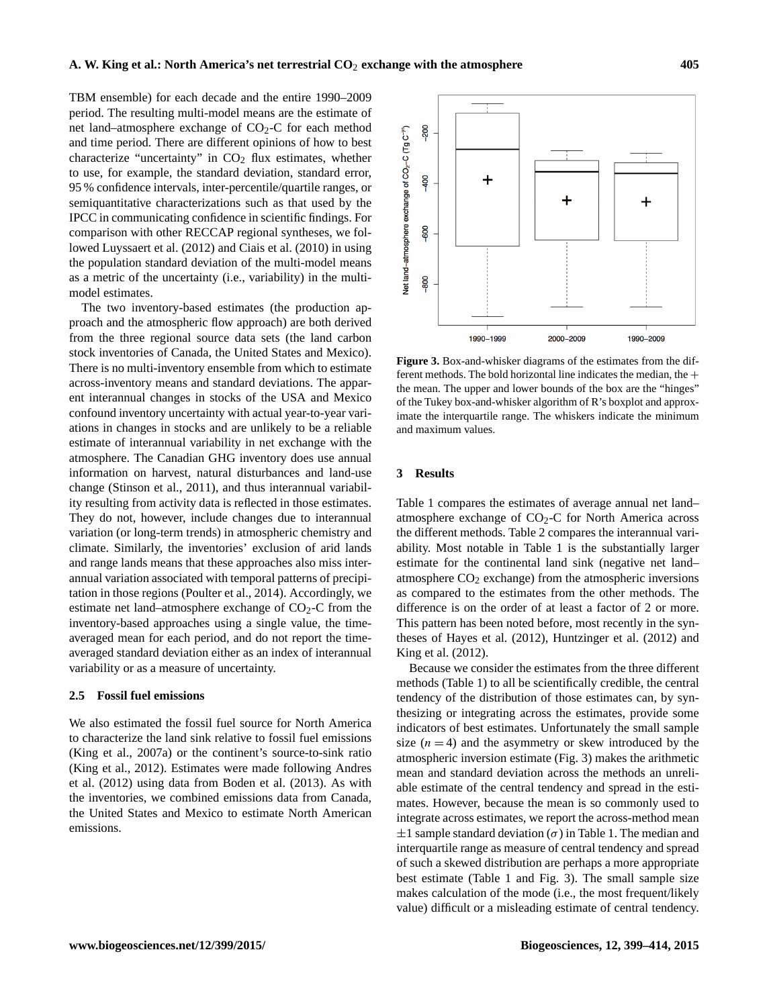TBM ensemble) for each decade and the entire 1990–2009 period. The resulting multi-model means are the estimate of net land–atmosphere exchange of  $CO<sub>2</sub>-C$  for each method and time period. There are different opinions of how to best characterize "uncertainty" in  $CO<sub>2</sub>$  flux estimates, whether to use, for example, the standard deviation, standard error, 95 % confidence intervals, inter-percentile/quartile ranges, or semiquantitative characterizations such as that used by the IPCC in communicating confidence in scientific findings. For comparison with other RECCAP regional syntheses, we followed Luyssaert et al. (2012) and Ciais et al. (2010) in using the population standard deviation of the multi-model means as a metric of the uncertainty (i.e., variability) in the multimodel estimates.

The two inventory-based estimates (the production approach and the atmospheric flow approach) are both derived from the three regional source data sets (the land carbon stock inventories of Canada, the United States and Mexico). There is no multi-inventory ensemble from which to estimate across-inventory means and standard deviations. The apparent interannual changes in stocks of the USA and Mexico confound inventory uncertainty with actual year-to-year variations in changes in stocks and are unlikely to be a reliable estimate of interannual variability in net exchange with the atmosphere. The Canadian GHG inventory does use annual information on harvest, natural disturbances and land-use change (Stinson et al., 2011), and thus interannual variability resulting from activity data is reflected in those estimates. They do not, however, include changes due to interannual variation (or long-term trends) in atmospheric chemistry and climate. Similarly, the inventories' exclusion of arid lands and range lands means that these approaches also miss interannual variation associated with temporal patterns of precipitation in those regions (Poulter et al., 2014). Accordingly, we estimate net land–atmosphere exchange of  $CO<sub>2</sub>-C$  from the inventory-based approaches using a single value, the timeaveraged mean for each period, and do not report the timeaveraged standard deviation either as an index of interannual variability or as a measure of uncertainty.

## **2.5 Fossil fuel emissions**

We also estimated the fossil fuel source for North America to characterize the land sink relative to fossil fuel emissions (King et al., 2007a) or the continent's source-to-sink ratio (King et al., 2012). Estimates were made following Andres et al. (2012) using data from Boden et al. (2013). As with the inventories, we combined emissions data from Canada, the United States and Mexico to estimate North American emissions.



**Figure 3.** Box-and-whisker diagrams of the estimates from the different methods. The bold horizontal line indicates the median, the  $+$ the mean. The upper and lower bounds of the box are the "hinges" of the Tukey box-and-whisker algorithm of R's boxplot and approximate the interquartile range. The whiskers indicate the minimum and maximum values.

### **3 Results**

Table 1 compares the estimates of average annual net land– atmosphere exchange of  $CO<sub>2</sub>-C$  for North America across the different methods. Table 2 compares the interannual variability. Most notable in Table 1 is the substantially larger estimate for the continental land sink (negative net land– atmosphere  $CO<sub>2</sub>$  exchange) from the atmospheric inversions as compared to the estimates from the other methods. The difference is on the order of at least a factor of 2 or more. This pattern has been noted before, most recently in the syntheses of Hayes et al. (2012), Huntzinger et al. (2012) and King et al. (2012).

Because we consider the estimates from the three different methods (Table 1) to all be scientifically credible, the central tendency of the distribution of those estimates can, by synthesizing or integrating across the estimates, provide some indicators of best estimates. Unfortunately the small sample size  $(n = 4)$  and the asymmetry or skew introduced by the atmospheric inversion estimate (Fig. 3) makes the arithmetic mean and standard deviation across the methods an unreliable estimate of the central tendency and spread in the estimates. However, because the mean is so commonly used to integrate across estimates, we report the across-method mean  $\pm 1$  sample standard deviation ( $\sigma$ ) in Table 1. The median and interquartile range as measure of central tendency and spread of such a skewed distribution are perhaps a more appropriate best estimate (Table 1 and Fig. 3). The small sample size makes calculation of the mode (i.e., the most frequent/likely value) difficult or a misleading estimate of central tendency.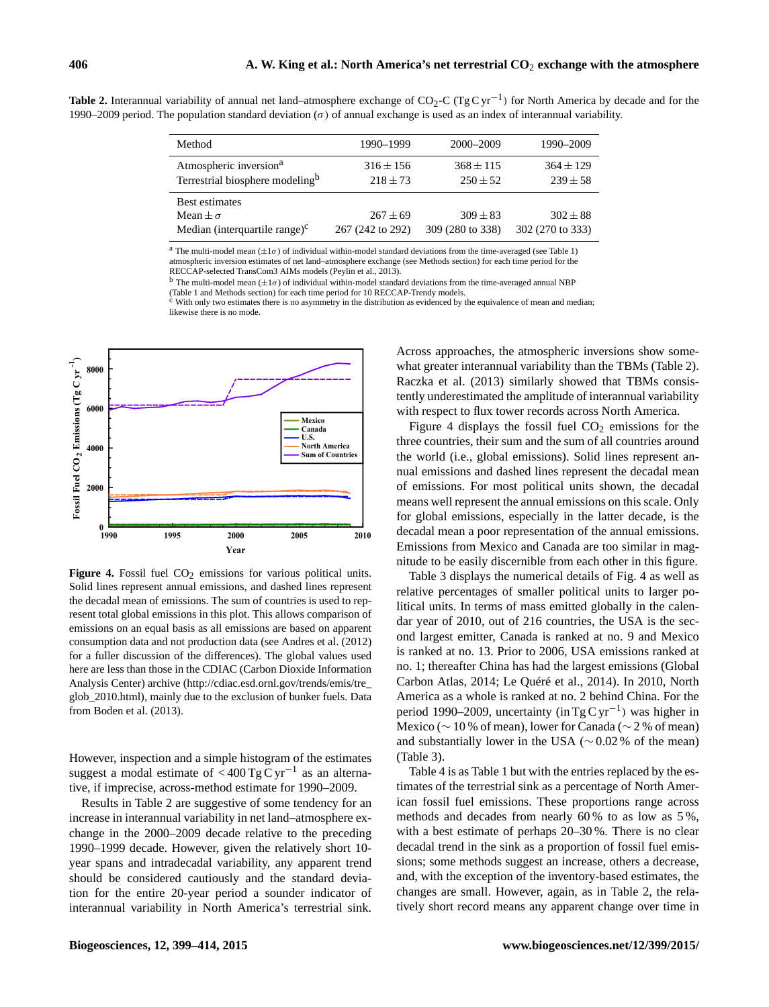Table 2. Interannual variability of annual net land–atmosphere exchange of CO<sub>2</sub>-C (Tg C yr<sup>-1</sup>) for North America by decade and for the 1990–2009 period. The population standard deviation (σ) of annual exchange is used as an index of interannual variability.

| Method                                                                            | 1990-1999                        | 2000-2009                        | 1990–2009                        |
|-----------------------------------------------------------------------------------|----------------------------------|----------------------------------|----------------------------------|
| Atmospheric inversion <sup>a</sup><br>Terrestrial biosphere modeling <sup>b</sup> | $316 \pm 156$<br>$218 \pm 73$    | $368 \pm 115$<br>$250 \pm 52$    | $364 \pm 129$<br>$239 \pm 58$    |
| <b>Best estimates</b><br>Mean $\pm \sigma$<br>Median (interquartile range) $c$    | $267 \pm 69$<br>267 (242 to 292) | $309 \pm 83$<br>309 (280 to 338) | $302 \pm 88$<br>302 (270 to 333) |

<sup>a</sup> The multi-model mean  $(\pm 1\sigma)$  of individual within-model standard deviations from the time-averaged (see Table 1) atmospheric inversion estimates of net land–atmosphere exchange (see Methods section) for each time period for the RECCAP-selected TransCom3 AIMs models (Peylin et al., 2013).

<sup>b</sup> The multi-model mean  $(\pm 1\sigma)$  of individual within-model standard deviations from the time-averaged annual NBP (Table 1 and Methods section) for each time period for 10 RECCAP-Trendy models.

<sup>c</sup> With only two estimates there is no asymmetry in the distribution as evidenced by the equivalence of mean and median; likewise there is no mode.



Figure 4. Fossil fuel CO<sub>2</sub> emissions for various political units. Solid lines represent annual emissions, and dashed lines represent the decadal mean of emissions. The sum of countries is used to represent total global emissions in this plot. This allows comparison of emissions on an equal basis as all emissions are based on apparent consumption data and not production data (see Andres et al. (2012) for a fuller discussion of the differences). The global values used here are less than those in the CDIAC (Carbon Dioxide Information Analysis Center) archive [\(http://cdiac.esd.ornl.gov/trends/emis/tre\\_](http://cdiac.esd.ornl.gov/trends/emis/tre_glob_2010.html) [glob\\_2010.html\)](http://cdiac.esd.ornl.gov/trends/emis/tre_glob_2010.html), mainly due to the exclusion of bunker fuels. Data from Boden et al. (2013).

However, inspection and a simple histogram of the estimates suggest a modal estimate of  $<$ 400 Tg C yr<sup>-1</sup> as an alternative, if imprecise, across-method estimate for 1990–2009.

Results in Table 2 are suggestive of some tendency for an increase in interannual variability in net land–atmosphere exchange in the 2000–2009 decade relative to the preceding 1990–1999 decade. However, given the relatively short 10 year spans and intradecadal variability, any apparent trend should be considered cautiously and the standard deviation for the entire 20-year period a sounder indicator of interannual variability in North America's terrestrial sink.

Across approaches, the atmospheric inversions show somewhat greater interannual variability than the TBMs (Table 2). Raczka et al. (2013) similarly showed that TBMs consistently underestimated the amplitude of interannual variability with respect to flux tower records across North America.

Figure 4 displays the fossil fuel  $CO<sub>2</sub>$  emissions for the three countries, their sum and the sum of all countries around the world (i.e., global emissions). Solid lines represent annual emissions and dashed lines represent the decadal mean of emissions. For most political units shown, the decadal means well represent the annual emissions on this scale. Only for global emissions, especially in the latter decade, is the decadal mean a poor representation of the annual emissions. Emissions from Mexico and Canada are too similar in magnitude to be easily discernible from each other in this figure.

Table 3 displays the numerical details of Fig. 4 as well as relative percentages of smaller political units to larger political units. In terms of mass emitted globally in the calendar year of 2010, out of 216 countries, the USA is the second largest emitter, Canada is ranked at no. 9 and Mexico is ranked at no. 13. Prior to 2006, USA emissions ranked at no. 1; thereafter China has had the largest emissions (Global Carbon Atlas, 2014; Le Quéré et al., 2014). In 2010, North America as a whole is ranked at no. 2 behind China. For the period 1990–2009, uncertainty (in Tg C yr<sup>-1</sup>) was higher in Mexico (∼ 10 % of mean), lower for Canada (∼ 2 % of mean) and substantially lower in the USA ( $\sim$  0.02 % of the mean) (Table 3).

Table 4 is as Table 1 but with the entries replaced by the estimates of the terrestrial sink as a percentage of North American fossil fuel emissions. These proportions range across methods and decades from nearly 60 % to as low as 5 %, with a best estimate of perhaps 20–30 %. There is no clear decadal trend in the sink as a proportion of fossil fuel emissions; some methods suggest an increase, others a decrease, and, with the exception of the inventory-based estimates, the changes are small. However, again, as in Table 2, the relatively short record means any apparent change over time in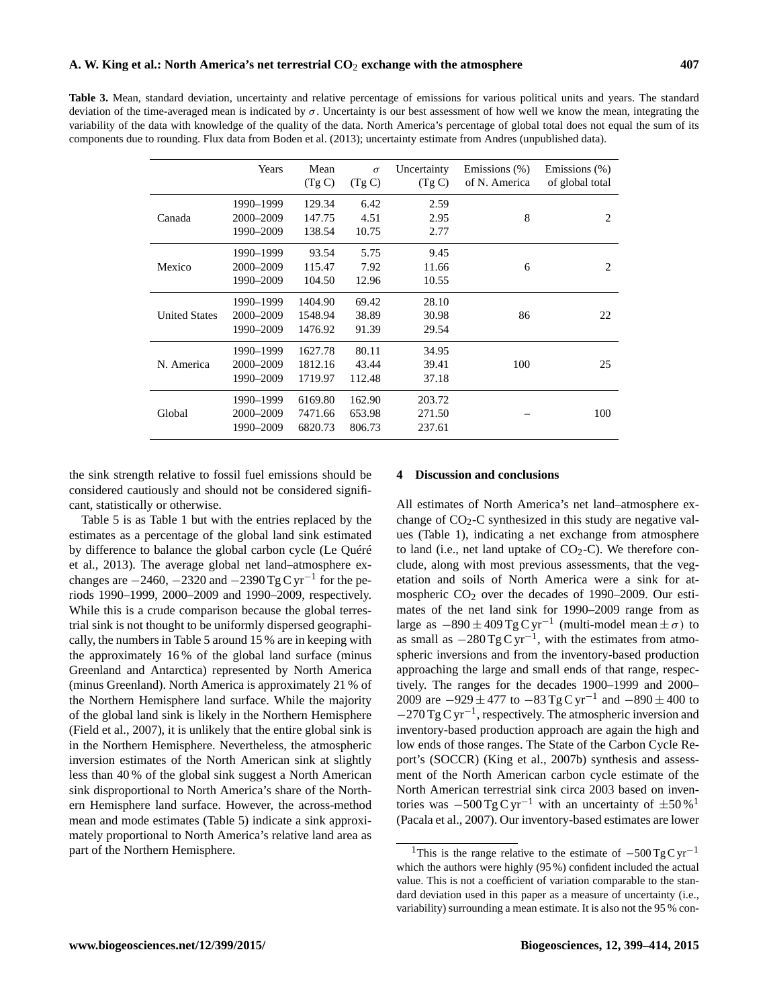**Table 3.** Mean, standard deviation, uncertainty and relative percentage of emissions for various political units and years. The standard deviation of the time-averaged mean is indicated by σ. Uncertainty is our best assessment of how well we know the mean, integrating the variability of the data with knowledge of the quality of the data. North America's percentage of global total does not equal the sum of its components due to rounding. Flux data from Boden et al. (2013); uncertainty estimate from Andres (unpublished data).

|                      | Years                               | Mean<br>(Tg C)                | $\sigma$<br>(Tg C)         | Uncertainty<br>(Tg C)      | Emissions (%)<br>of N. America | Emissions (%)<br>of global total |
|----------------------|-------------------------------------|-------------------------------|----------------------------|----------------------------|--------------------------------|----------------------------------|
| Canada               | 1990–1999<br>2000–2009<br>1990-2009 | 129.34<br>147.75<br>138.54    | 6.42<br>4.51<br>10.75      | 2.59<br>2.95<br>2.77       | 8                              | $\overline{c}$                   |
| Mexico               | 1990–1999<br>2000–2009<br>1990-2009 | 93.54<br>115.47<br>104.50     | 5.75<br>7.92<br>12.96      | 9.45<br>11.66<br>10.55     | 6                              | $\overline{c}$                   |
| <b>United States</b> | 1990-1999<br>2000-2009<br>1990-2009 | 1404.90<br>1548.94<br>1476.92 | 69.42<br>38.89<br>91.39    | 28.10<br>30.98<br>29.54    | 86                             | 22                               |
| N. America           | 1990–1999<br>2000–2009<br>1990-2009 | 1627.78<br>1812.16<br>1719.97 | 80.11<br>43.44<br>112.48   | 34.95<br>39.41<br>37.18    | 100                            | 25                               |
| Global               | 1990–1999<br>2000-2009<br>1990–2009 | 6169.80<br>7471.66<br>6820.73 | 162.90<br>653.98<br>806.73 | 203.72<br>271.50<br>237.61 |                                | 100                              |

the sink strength relative to fossil fuel emissions should be considered cautiously and should not be considered significant, statistically or otherwise.

Table 5 is as Table 1 but with the entries replaced by the estimates as a percentage of the global land sink estimated by difference to balance the global carbon cycle (Le Quéré et al., 2013). The average global net land–atmosphere exchanges are  $-2460$ ,  $-2320$  and  $-2390$  Tg C yr<sup>-1</sup> for the periods 1990–1999, 2000–2009 and 1990–2009, respectively. While this is a crude comparison because the global terrestrial sink is not thought to be uniformly dispersed geographically, the numbers in Table 5 around 15 % are in keeping with the approximately 16 % of the global land surface (minus Greenland and Antarctica) represented by North America (minus Greenland). North America is approximately 21 % of the Northern Hemisphere land surface. While the majority of the global land sink is likely in the Northern Hemisphere (Field et al., 2007), it is unlikely that the entire global sink is in the Northern Hemisphere. Nevertheless, the atmospheric inversion estimates of the North American sink at slightly less than 40 % of the global sink suggest a North American sink disproportional to North America's share of the Northern Hemisphere land surface. However, the across-method mean and mode estimates (Table 5) indicate a sink approximately proportional to North America's relative land area as part of the Northern Hemisphere.

## **4 Discussion and conclusions**

All estimates of North America's net land–atmosphere exchange of  $CO<sub>2</sub>-C$  synthesized in this study are negative values (Table 1), indicating a net exchange from atmosphere to land (i.e., net land uptake of  $CO<sub>2</sub>-C$ ). We therefore conclude, along with most previous assessments, that the vegetation and soils of North America were a sink for atmospheric  $CO<sub>2</sub>$  over the decades of 1990–2009. Our estimates of the net land sink for 1990–2009 range from as large as  $-890 \pm 409$  Tg C yr<sup>-1</sup> (multi-model mean  $\pm \sigma$ ) to as small as  $-280 \text{ Tg C yr}^{-1}$ , with the estimates from atmospheric inversions and from the inventory-based production approaching the large and small ends of that range, respectively. The ranges for the decades 1900–1999 and 2000– 2009 are  $-929 \pm 477$  to  $-83$  Tg C yr<sup>-1</sup> and  $-890 \pm 400$  to −270 Tg C yr−<sup>1</sup> , respectively. The atmospheric inversion and inventory-based production approach are again the high and low ends of those ranges. The State of the Carbon Cycle Report's (SOCCR) (King et al., 2007b) synthesis and assessment of the North American carbon cycle estimate of the North American terrestrial sink circa 2003 based on inventories was  $-500$  Tg C yr<sup>-1</sup> with an uncertainty of  $\pm 50\%$ <sup>1</sup> (Pacala et al., 2007). Our inventory-based estimates are lower

<sup>&</sup>lt;sup>1</sup>This is the range relative to the estimate of  $-500 \text{ Tg C yr}^{-1}$ which the authors were highly (95 %) confident included the actual value. This is not a coefficient of variation comparable to the standard deviation used in this paper as a measure of uncertainty (i.e., variability) surrounding a mean estimate. It is also not the 95 % con-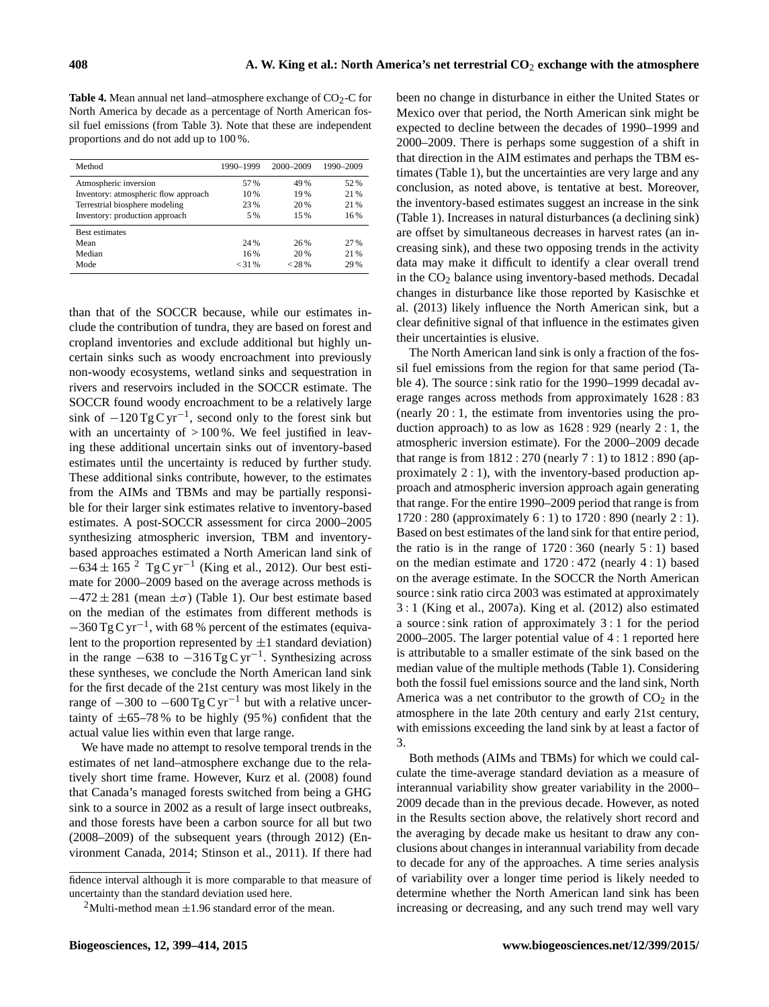**Table 4.** Mean annual net land–atmosphere exchange of  $CO_2$ -C for North America by decade as a percentage of North American fossil fuel emissions (from Table 3). Note that these are independent proportions and do not add up to 100 %.

| Method                               | 1990-1999 | 2000-2009 | 1990-2009 |
|--------------------------------------|-----------|-----------|-----------|
| Atmospheric inversion                | 57%       | 49 %      | 52%       |
| Inventory: atmospheric flow approach | 10 %      | 19%       | 21 %      |
| Terrestrial biosphere modeling       | 23%       | 20 %      | 21 %      |
| Inventory: production approach       | 5 %       | 15%       | 16%       |
| <b>Best estimates</b>                |           |           |           |
| Mean                                 | 24 %      | 26%       | 27%       |
| Median                               | 16%       | 20 %      | 21 %      |
| Mode                                 | < 31%     | < 28 %    | 29 %      |

than that of the SOCCR because, while our estimates include the contribution of tundra, they are based on forest and cropland inventories and exclude additional but highly uncertain sinks such as woody encroachment into previously non-woody ecosystems, wetland sinks and sequestration in rivers and reservoirs included in the SOCCR estimate. The SOCCR found woody encroachment to be a relatively large sink of  $-120 \text{ Tg C yr}^{-1}$ , second only to the forest sink but with an uncertainty of  $>100\%$ . We feel justified in leaving these additional uncertain sinks out of inventory-based estimates until the uncertainty is reduced by further study. These additional sinks contribute, however, to the estimates from the AIMs and TBMs and may be partially responsible for their larger sink estimates relative to inventory-based estimates. A post-SOCCR assessment for circa 2000–2005 synthesizing atmospheric inversion, TBM and inventorybased approaches estimated a North American land sink of  $-634 \pm 165$  <sup>2</sup> Tg C yr<sup>-1</sup> (King et al., 2012). Our best estimate for 2000–2009 based on the average across methods is  $-472 \pm 281$  (mean  $\pm \sigma$ ) (Table 1). Our best estimate based on the median of the estimates from different methods is −360 Tg C yr−<sup>1</sup> , with 68 % percent of the estimates (equivalent to the proportion represented by  $\pm 1$  standard deviation) in the range  $-638$  to  $-316$  Tg C yr<sup>-1</sup>. Synthesizing across these syntheses, we conclude the North American land sink for the first decade of the 21st century was most likely in the range of  $-300$  to  $-600$  Tg C yr<sup>-1</sup> but with a relative uncertainty of  $\pm 65$ –78% to be highly (95%) confident that the actual value lies within even that large range.

We have made no attempt to resolve temporal trends in the estimates of net land–atmosphere exchange due to the relatively short time frame. However, Kurz et al. (2008) found that Canada's managed forests switched from being a GHG sink to a source in 2002 as a result of large insect outbreaks, and those forests have been a carbon source for all but two (2008–2009) of the subsequent years (through 2012) (Environment Canada, 2014; Stinson et al., 2011). If there had been no change in disturbance in either the United States or Mexico over that period, the North American sink might be expected to decline between the decades of 1990–1999 and 2000–2009. There is perhaps some suggestion of a shift in that direction in the AIM estimates and perhaps the TBM estimates (Table 1), but the uncertainties are very large and any conclusion, as noted above, is tentative at best. Moreover, the inventory-based estimates suggest an increase in the sink (Table 1). Increases in natural disturbances (a declining sink) are offset by simultaneous decreases in harvest rates (an increasing sink), and these two opposing trends in the activity data may make it difficult to identify a clear overall trend in the CO<sup>2</sup> balance using inventory-based methods. Decadal changes in disturbance like those reported by Kasischke et al. (2013) likely influence the North American sink, but a clear definitive signal of that influence in the estimates given their uncertainties is elusive.

The North American land sink is only a fraction of the fossil fuel emissions from the region for that same period (Table 4). The source : sink ratio for the 1990–1999 decadal average ranges across methods from approximately 1628 : 83 (nearly 20 : 1, the estimate from inventories using the production approach) to as low as 1628 : 929 (nearly 2 : 1, the atmospheric inversion estimate). For the 2000–2009 decade that range is from 1812 : 270 (nearly 7 : 1) to 1812 : 890 (approximately 2 : 1), with the inventory-based production approach and atmospheric inversion approach again generating that range. For the entire 1990–2009 period that range is from 1720 : 280 (approximately 6 : 1) to 1720 : 890 (nearly 2 : 1). Based on best estimates of the land sink for that entire period, the ratio is in the range of  $1720:360$  (nearly  $5:1$ ) based on the median estimate and 1720 : 472 (nearly 4 : 1) based on the average estimate. In the SOCCR the North American source : sink ratio circa 2003 was estimated at approximately 3 : 1 (King et al., 2007a). King et al. (2012) also estimated a source : sink ration of approximately 3 : 1 for the period 2000–2005. The larger potential value of 4 : 1 reported here is attributable to a smaller estimate of the sink based on the median value of the multiple methods (Table 1). Considering both the fossil fuel emissions source and the land sink, North America was a net contributor to the growth of  $CO<sub>2</sub>$  in the atmosphere in the late 20th century and early 21st century, with emissions exceeding the land sink by at least a factor of 3.

Both methods (AIMs and TBMs) for which we could calculate the time-average standard deviation as a measure of interannual variability show greater variability in the 2000– 2009 decade than in the previous decade. However, as noted in the Results section above, the relatively short record and the averaging by decade make us hesitant to draw any conclusions about changes in interannual variability from decade to decade for any of the approaches. A time series analysis of variability over a longer time period is likely needed to determine whether the North American land sink has been increasing or decreasing, and any such trend may well vary

fidence interval although it is more comparable to that measure of uncertainty than the standard deviation used here.

<sup>&</sup>lt;sup>2</sup>Multi-method mean  $\pm$ 1.96 standard error of the mean.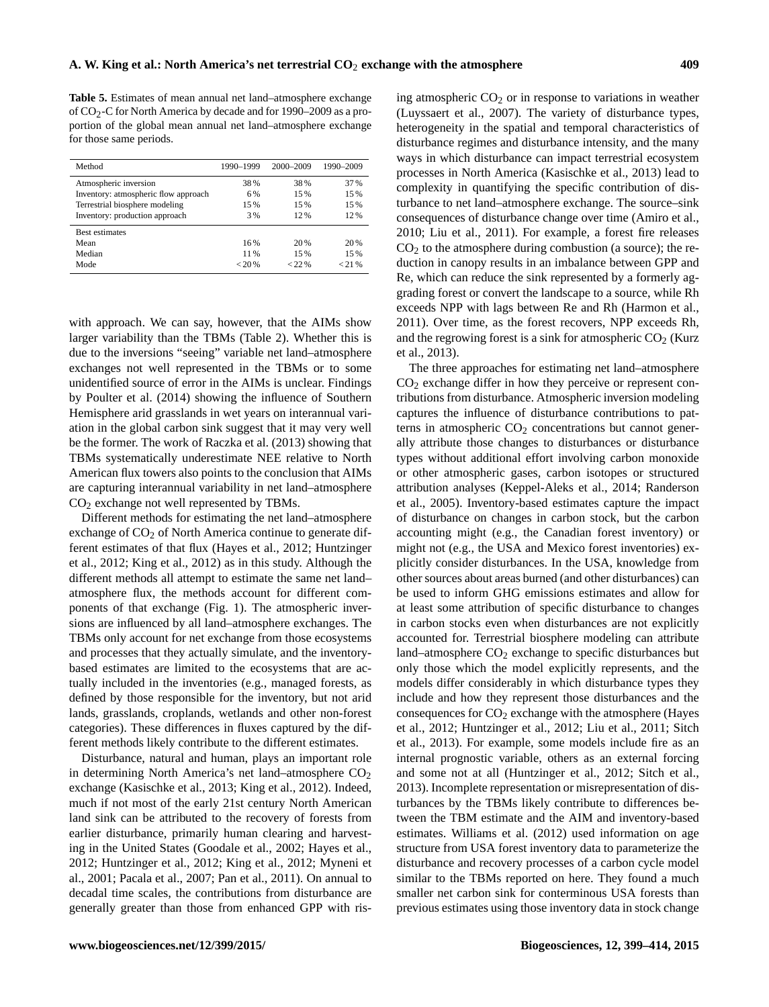**Table 5.** Estimates of mean annual net land–atmosphere exchange of CO2-C for North America by decade and for 1990–2009 as a proportion of the global mean annual net land–atmosphere exchange for those same periods.

| Method                               | 1990-1999 | 2000-2009 | 1990-2009 |
|--------------------------------------|-----------|-----------|-----------|
| Atmospheric inversion                | 38%       | 38%       | 37%       |
| Inventory: atmospheric flow approach | 6 %       | 15 %      | 15%       |
| Terrestrial biosphere modeling       | 15%       | 15 %      | 15%       |
| Inventory: production approach       | 3 %       | 12%       | 12%       |
| <b>Best estimates</b>                |           |           |           |
| Mean                                 | 16%       | 20 %      | 20 %      |
| Median                               | 11%       | 15%       | 15%       |
| Mode                                 | $< 20\%$  | < 22 %    | < 21%     |

with approach. We can say, however, that the AIMs show larger variability than the TBMs (Table 2). Whether this is due to the inversions "seeing" variable net land–atmosphere exchanges not well represented in the TBMs or to some unidentified source of error in the AIMs is unclear. Findings by Poulter et al. (2014) showing the influence of Southern Hemisphere arid grasslands in wet years on interannual variation in the global carbon sink suggest that it may very well be the former. The work of Raczka et al. (2013) showing that TBMs systematically underestimate NEE relative to North American flux towers also points to the conclusion that AIMs are capturing interannual variability in net land–atmosphere  $CO<sub>2</sub>$  exchange not well represented by TBMs.

Different methods for estimating the net land–atmosphere exchange of  $CO<sub>2</sub>$  of North America continue to generate different estimates of that flux (Hayes et al., 2012; Huntzinger et al., 2012; King et al., 2012) as in this study. Although the different methods all attempt to estimate the same net land– atmosphere flux, the methods account for different components of that exchange (Fig. 1). The atmospheric inversions are influenced by all land–atmosphere exchanges. The TBMs only account for net exchange from those ecosystems and processes that they actually simulate, and the inventorybased estimates are limited to the ecosystems that are actually included in the inventories (e.g., managed forests, as defined by those responsible for the inventory, but not arid lands, grasslands, croplands, wetlands and other non-forest categories). These differences in fluxes captured by the different methods likely contribute to the different estimates.

Disturbance, natural and human, plays an important role in determining North America's net land–atmosphere  $CO<sub>2</sub>$ exchange (Kasischke et al., 2013; King et al., 2012). Indeed, much if not most of the early 21st century North American land sink can be attributed to the recovery of forests from earlier disturbance, primarily human clearing and harvesting in the United States (Goodale et al., 2002; Hayes et al., 2012; Huntzinger et al., 2012; King et al., 2012; Myneni et al., 2001; Pacala et al., 2007; Pan et al., 2011). On annual to decadal time scales, the contributions from disturbance are generally greater than those from enhanced GPP with rising atmospheric  $CO<sub>2</sub>$  or in response to variations in weather (Luyssaert et al., 2007). The variety of disturbance types, heterogeneity in the spatial and temporal characteristics of disturbance regimes and disturbance intensity, and the many ways in which disturbance can impact terrestrial ecosystem processes in North America (Kasischke et al., 2013) lead to complexity in quantifying the specific contribution of disturbance to net land–atmosphere exchange. The source–sink consequences of disturbance change over time (Amiro et al., 2010; Liu et al., 2011). For example, a forest fire releases  $CO<sub>2</sub>$  to the atmosphere during combustion (a source); the reduction in canopy results in an imbalance between GPP and Re, which can reduce the sink represented by a formerly aggrading forest or convert the landscape to a source, while Rh exceeds NPP with lags between Re and Rh (Harmon et al., 2011). Over time, as the forest recovers, NPP exceeds Rh, and the regrowing forest is a sink for atmospheric  $CO<sub>2</sub>$  (Kurz et al., 2013).

The three approaches for estimating net land–atmosphere  $CO<sub>2</sub>$  exchange differ in how they perceive or represent contributions from disturbance. Atmospheric inversion modeling captures the influence of disturbance contributions to patterns in atmospheric  $CO<sub>2</sub>$  concentrations but cannot generally attribute those changes to disturbances or disturbance types without additional effort involving carbon monoxide or other atmospheric gases, carbon isotopes or structured attribution analyses (Keppel-Aleks et al., 2014; Randerson et al., 2005). Inventory-based estimates capture the impact of disturbance on changes in carbon stock, but the carbon accounting might (e.g., the Canadian forest inventory) or might not (e.g., the USA and Mexico forest inventories) explicitly consider disturbances. In the USA, knowledge from other sources about areas burned (and other disturbances) can be used to inform GHG emissions estimates and allow for at least some attribution of specific disturbance to changes in carbon stocks even when disturbances are not explicitly accounted for. Terrestrial biosphere modeling can attribute land–atmosphere  $CO<sub>2</sub>$  exchange to specific disturbances but only those which the model explicitly represents, and the models differ considerably in which disturbance types they include and how they represent those disturbances and the consequences for  $CO<sub>2</sub>$  exchange with the atmosphere (Hayes et al., 2012; Huntzinger et al., 2012; Liu et al., 2011; Sitch et al., 2013). For example, some models include fire as an internal prognostic variable, others as an external forcing and some not at all (Huntzinger et al., 2012; Sitch et al., 2013). Incomplete representation or misrepresentation of disturbances by the TBMs likely contribute to differences between the TBM estimate and the AIM and inventory-based estimates. Williams et al. (2012) used information on age structure from USA forest inventory data to parameterize the disturbance and recovery processes of a carbon cycle model similar to the TBMs reported on here. They found a much smaller net carbon sink for conterminous USA forests than previous estimates using those inventory data in stock change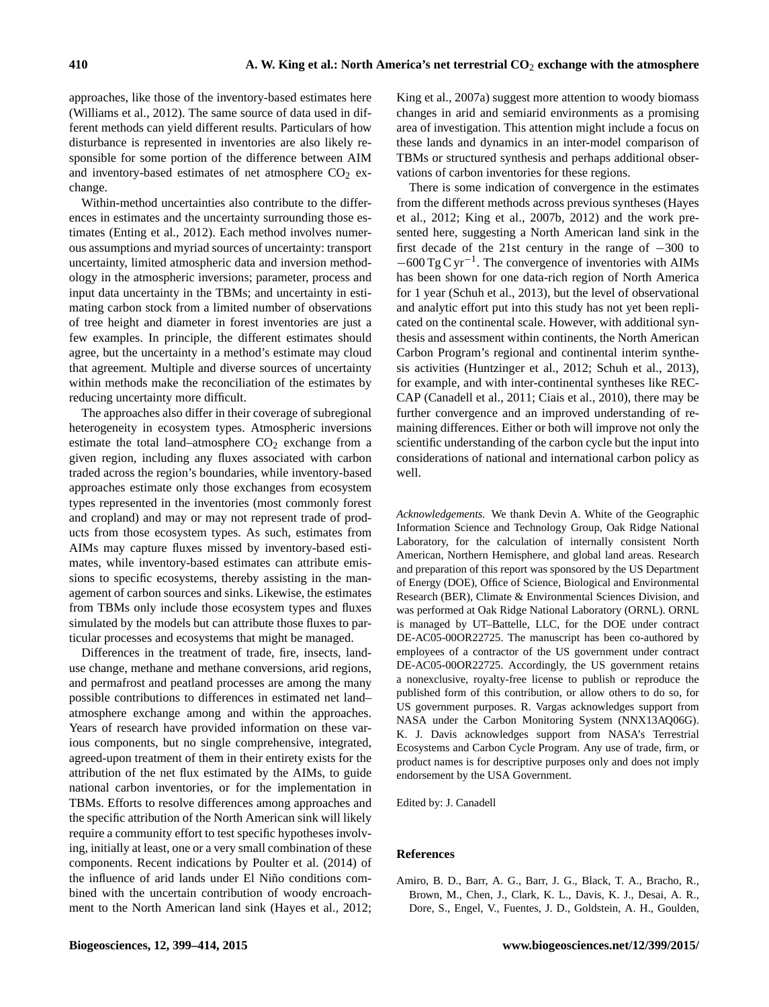approaches, like those of the inventory-based estimates here (Williams et al., 2012). The same source of data used in different methods can yield different results. Particulars of how disturbance is represented in inventories are also likely responsible for some portion of the difference between AIM and inventory-based estimates of net atmosphere  $CO<sub>2</sub>$  exchange.

Within-method uncertainties also contribute to the differences in estimates and the uncertainty surrounding those estimates (Enting et al., 2012). Each method involves numerous assumptions and myriad sources of uncertainty: transport uncertainty, limited atmospheric data and inversion methodology in the atmospheric inversions; parameter, process and input data uncertainty in the TBMs; and uncertainty in estimating carbon stock from a limited number of observations of tree height and diameter in forest inventories are just a few examples. In principle, the different estimates should agree, but the uncertainty in a method's estimate may cloud that agreement. Multiple and diverse sources of uncertainty within methods make the reconciliation of the estimates by reducing uncertainty more difficult.

The approaches also differ in their coverage of subregional heterogeneity in ecosystem types. Atmospheric inversions estimate the total land–atmosphere  $CO<sub>2</sub>$  exchange from a given region, including any fluxes associated with carbon traded across the region's boundaries, while inventory-based approaches estimate only those exchanges from ecosystem types represented in the inventories (most commonly forest and cropland) and may or may not represent trade of products from those ecosystem types. As such, estimates from AIMs may capture fluxes missed by inventory-based estimates, while inventory-based estimates can attribute emissions to specific ecosystems, thereby assisting in the management of carbon sources and sinks. Likewise, the estimates from TBMs only include those ecosystem types and fluxes simulated by the models but can attribute those fluxes to particular processes and ecosystems that might be managed.

Differences in the treatment of trade, fire, insects, landuse change, methane and methane conversions, arid regions, and permafrost and peatland processes are among the many possible contributions to differences in estimated net land– atmosphere exchange among and within the approaches. Years of research have provided information on these various components, but no single comprehensive, integrated, agreed-upon treatment of them in their entirety exists for the attribution of the net flux estimated by the AIMs, to guide national carbon inventories, or for the implementation in TBMs. Efforts to resolve differences among approaches and the specific attribution of the North American sink will likely require a community effort to test specific hypotheses involving, initially at least, one or a very small combination of these components. Recent indications by Poulter et al. (2014) of the influence of arid lands under El Niño conditions combined with the uncertain contribution of woody encroachment to the North American land sink (Hayes et al., 2012;

King et al., 2007a) suggest more attention to woody biomass changes in arid and semiarid environments as a promising area of investigation. This attention might include a focus on these lands and dynamics in an inter-model comparison of TBMs or structured synthesis and perhaps additional observations of carbon inventories for these regions.

There is some indication of convergence in the estimates from the different methods across previous syntheses (Hayes et al., 2012; King et al., 2007b, 2012) and the work presented here, suggesting a North American land sink in the first decade of the 21st century in the range of −300 to −600 Tg C yr−<sup>1</sup> . The convergence of inventories with AIMs has been shown for one data-rich region of North America for 1 year (Schuh et al., 2013), but the level of observational and analytic effort put into this study has not yet been replicated on the continental scale. However, with additional synthesis and assessment within continents, the North American Carbon Program's regional and continental interim synthesis activities (Huntzinger et al., 2012; Schuh et al., 2013), for example, and with inter-continental syntheses like REC-CAP (Canadell et al., 2011; Ciais et al., 2010), there may be further convergence and an improved understanding of remaining differences. Either or both will improve not only the scientific understanding of the carbon cycle but the input into considerations of national and international carbon policy as well.

*Acknowledgements.* We thank Devin A. White of the Geographic Information Science and Technology Group, Oak Ridge National Laboratory, for the calculation of internally consistent North American, Northern Hemisphere, and global land areas. Research and preparation of this report was sponsored by the US Department of Energy (DOE), Office of Science, Biological and Environmental Research (BER), Climate & Environmental Sciences Division, and was performed at Oak Ridge National Laboratory (ORNL). ORNL is managed by UT–Battelle, LLC, for the DOE under contract DE-AC05-00OR22725. The manuscript has been co-authored by employees of a contractor of the US government under contract DE-AC05-00OR22725. Accordingly, the US government retains a nonexclusive, royalty-free license to publish or reproduce the published form of this contribution, or allow others to do so, for US government purposes. R. Vargas acknowledges support from NASA under the Carbon Monitoring System (NNX13AQ06G). K. J. Davis acknowledges support from NASA's Terrestrial Ecosystems and Carbon Cycle Program. Any use of trade, firm, or product names is for descriptive purposes only and does not imply endorsement by the USA Government.

Edited by: J. Canadell

## **References**

Amiro, B. D., Barr, A. G., Barr, J. G., Black, T. A., Bracho, R., Brown, M., Chen, J., Clark, K. L., Davis, K. J., Desai, A. R., Dore, S., Engel, V., Fuentes, J. D., Goldstein, A. H., Goulden,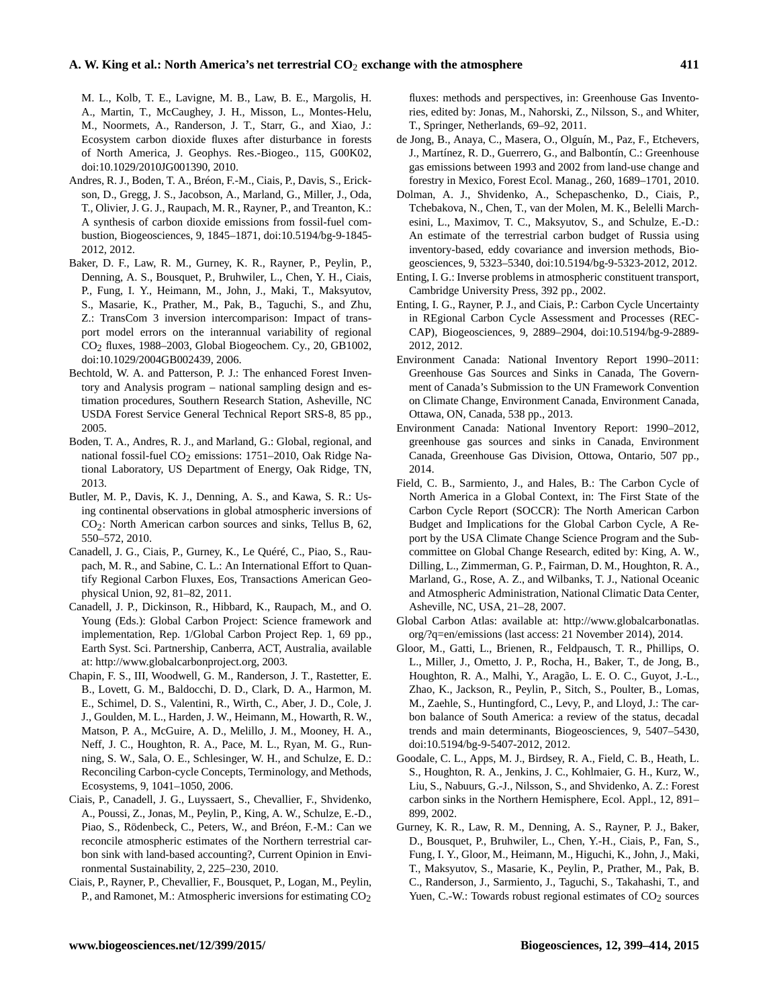M. L., Kolb, T. E., Lavigne, M. B., Law, B. E., Margolis, H. A., Martin, T., McCaughey, J. H., Misson, L., Montes-Helu, M., Noormets, A., Randerson, J. T., Starr, G., and Xiao, J.: Ecosystem carbon dioxide fluxes after disturbance in forests of North America, J. Geophys. Res.-Biogeo., 115, G00K02, doi[:10.1029/2010JG001390,](http://dx.doi.org/10.1029/2010JG001390) 2010.

- Andres, R. J., Boden, T. A., Bréon, F.-M., Ciais, P., Davis, S., Erickson, D., Gregg, J. S., Jacobson, A., Marland, G., Miller, J., Oda, T., Olivier, J. G. J., Raupach, M. R., Rayner, P., and Treanton, K.: A synthesis of carbon dioxide emissions from fossil-fuel combustion, Biogeosciences, 9, 1845–1871, doi[:10.5194/bg-9-1845-](http://dx.doi.org/10.5194/bg-9-1845-2012) [2012,](http://dx.doi.org/10.5194/bg-9-1845-2012) 2012.
- Baker, D. F., Law, R. M., Gurney, K. R., Rayner, P., Peylin, P., Denning, A. S., Bousquet, P., Bruhwiler, L., Chen, Y. H., Ciais, P., Fung, I. Y., Heimann, M., John, J., Maki, T., Maksyutov, S., Masarie, K., Prather, M., Pak, B., Taguchi, S., and Zhu, Z.: TransCom 3 inversion intercomparison: Impact of transport model errors on the interannual variability of regional CO2 fluxes, 1988–2003, Global Biogeochem. Cy., 20, GB1002, doi[:10.1029/2004GB002439,](http://dx.doi.org/10.1029/2004GB002439) 2006.
- Bechtold, W. A. and Patterson, P. J.: The enhanced Forest Inventory and Analysis program – national sampling design and estimation procedures, Southern Research Station, Asheville, NC USDA Forest Service General Technical Report SRS-8, 85 pp., 2005.
- Boden, T. A., Andres, R. J., and Marland, G.: Global, regional, and national fossil-fuel CO<sub>2</sub> emissions: 1751–2010, Oak Ridge National Laboratory, US Department of Energy, Oak Ridge, TN, 2013.
- Butler, M. P., Davis, K. J., Denning, A. S., and Kawa, S. R.: Using continental observations in global atmospheric inversions of CO2: North American carbon sources and sinks, Tellus B, 62, 550–572, 2010.
- Canadell, J. G., Ciais, P., Gurney, K., Le Quéré, C., Piao, S., Raupach, M. R., and Sabine, C. L.: An International Effort to Quantify Regional Carbon Fluxes, Eos, Transactions American Geophysical Union, 92, 81–82, 2011.
- Canadell, J. P., Dickinson, R., Hibbard, K., Raupach, M., and O. Young (Eds.): Global Carbon Project: Science framework and implementation, Rep. 1/Global Carbon Project Rep. 1, 69 pp., Earth Syst. Sci. Partnership, Canberra, ACT, Australia, available at: [http://www.globalcarbonproject.org,](http://www.globalcarbonproject.org) 2003.
- Chapin, F. S., III, Woodwell, G. M., Randerson, J. T., Rastetter, E. B., Lovett, G. M., Baldocchi, D. D., Clark, D. A., Harmon, M. E., Schimel, D. S., Valentini, R., Wirth, C., Aber, J. D., Cole, J. J., Goulden, M. L., Harden, J. W., Heimann, M., Howarth, R. W., Matson, P. A., McGuire, A. D., Melillo, J. M., Mooney, H. A., Neff, J. C., Houghton, R. A., Pace, M. L., Ryan, M. G., Running, S. W., Sala, O. E., Schlesinger, W. H., and Schulze, E. D.: Reconciling Carbon-cycle Concepts, Terminology, and Methods, Ecosystems, 9, 1041–1050, 2006.
- Ciais, P., Canadell, J. G., Luyssaert, S., Chevallier, F., Shvidenko, A., Poussi, Z., Jonas, M., Peylin, P., King, A. W., Schulze, E.-D., Piao, S., Rödenbeck, C., Peters, W., and Bréon, F.-M.: Can we reconcile atmospheric estimates of the Northern terrestrial carbon sink with land-based accounting?, Current Opinion in Environmental Sustainability, 2, 225–230, 2010.
- Ciais, P., Rayner, P., Chevallier, F., Bousquet, P., Logan, M., Peylin, P., and Ramonet, M.: Atmospheric inversions for estimating  $CO<sub>2</sub>$

fluxes: methods and perspectives, in: Greenhouse Gas Inventories, edited by: Jonas, M., Nahorski, Z., Nilsson, S., and Whiter, T., Springer, Netherlands, 69–92, 2011.

- de Jong, B., Anaya, C., Masera, O., Olguín, M., Paz, F., Etchevers, J., Martínez, R. D., Guerrero, G., and Balbontín, C.: Greenhouse gas emissions between 1993 and 2002 from land-use change and forestry in Mexico, Forest Ecol. Manag., 260, 1689–1701, 2010.
- Dolman, A. J., Shvidenko, A., Schepaschenko, D., Ciais, P., Tchebakova, N., Chen, T., van der Molen, M. K., Belelli Marchesini, L., Maximov, T. C., Maksyutov, S., and Schulze, E.-D.: An estimate of the terrestrial carbon budget of Russia using inventory-based, eddy covariance and inversion methods, Biogeosciences, 9, 5323–5340, doi[:10.5194/bg-9-5323-2012,](http://dx.doi.org/10.5194/bg-9-5323-2012) 2012.
- Enting, I. G.: Inverse problems in atmospheric constituent transport, Cambridge University Press, 392 pp., 2002.
- Enting, I. G., Rayner, P. J., and Ciais, P.: Carbon Cycle Uncertainty in REgional Carbon Cycle Assessment and Processes (REC-CAP), Biogeosciences, 9, 2889–2904, doi[:10.5194/bg-9-2889-](http://dx.doi.org/10.5194/bg-9-2889-2012) [2012,](http://dx.doi.org/10.5194/bg-9-2889-2012) 2012.
- Environment Canada: National Inventory Report 1990–2011: Greenhouse Gas Sources and Sinks in Canada, The Government of Canada's Submission to the UN Framework Convention on Climate Change, Environment Canada, Environment Canada, Ottawa, ON, Canada, 538 pp., 2013.
- Environment Canada: National Inventory Report: 1990–2012, greenhouse gas sources and sinks in Canada, Environment Canada, Greenhouse Gas Division, Ottowa, Ontario, 507 pp., 2014.
- Field, C. B., Sarmiento, J., and Hales, B.: The Carbon Cycle of North America in a Global Context, in: The First State of the Carbon Cycle Report (SOCCR): The North American Carbon Budget and Implications for the Global Carbon Cycle, A Report by the USA Climate Change Science Program and the Subcommittee on Global Change Research, edited by: King, A. W., Dilling, L., Zimmerman, G. P., Fairman, D. M., Houghton, R. A., Marland, G., Rose, A. Z., and Wilbanks, T. J., National Oceanic and Atmospheric Administration, National Climatic Data Center, Asheville, NC, USA, 21–28, 2007.
- Global Carbon Atlas: available at: [http://www.globalcarbonatlas.](http://www.globalcarbonatlas.org/?q=en/emissions) [org/?q=en/emissions](http://www.globalcarbonatlas.org/?q=en/emissions) (last access: 21 November 2014), 2014.
- Gloor, M., Gatti, L., Brienen, R., Feldpausch, T. R., Phillips, O. L., Miller, J., Ometto, J. P., Rocha, H., Baker, T., de Jong, B., Houghton, R. A., Malhi, Y., Aragão, L. E. O. C., Guyot, J.-L., Zhao, K., Jackson, R., Peylin, P., Sitch, S., Poulter, B., Lomas, M., Zaehle, S., Huntingford, C., Levy, P., and Lloyd, J.: The carbon balance of South America: a review of the status, decadal trends and main determinants, Biogeosciences, 9, 5407–5430, doi[:10.5194/bg-9-5407-2012,](http://dx.doi.org/10.5194/bg-9-5407-2012) 2012.
- Goodale, C. L., Apps, M. J., Birdsey, R. A., Field, C. B., Heath, L. S., Houghton, R. A., Jenkins, J. C., Kohlmaier, G. H., Kurz, W., Liu, S., Nabuurs, G.-J., Nilsson, S., and Shvidenko, A. Z.: Forest carbon sinks in the Northern Hemisphere, Ecol. Appl., 12, 891– 899, 2002.
- Gurney, K. R., Law, R. M., Denning, A. S., Rayner, P. J., Baker, D., Bousquet, P., Bruhwiler, L., Chen, Y.-H., Ciais, P., Fan, S., Fung, I. Y., Gloor, M., Heimann, M., Higuchi, K., John, J., Maki, T., Maksyutov, S., Masarie, K., Peylin, P., Prather, M., Pak, B. C., Randerson, J., Sarmiento, J., Taguchi, S., Takahashi, T., and Yuen, C.-W.: Towards robust regional estimates of  $CO<sub>2</sub>$  sources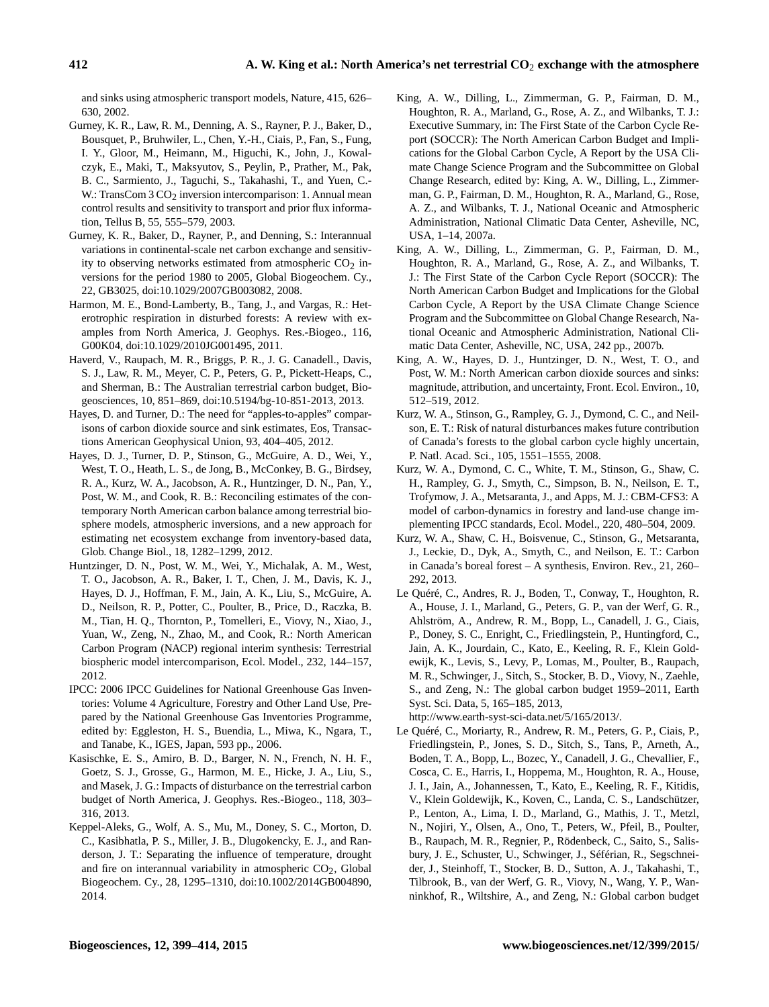and sinks using atmospheric transport models, Nature, 415, 626– 630, 2002.

- Gurney, K. R., Law, R. M., Denning, A. S., Rayner, P. J., Baker, D., Bousquet, P., Bruhwiler, L., Chen, Y.-H., Ciais, P., Fan, S., Fung, I. Y., Gloor, M., Heimann, M., Higuchi, K., John, J., Kowalczyk, E., Maki, T., Maksyutov, S., Peylin, P., Prather, M., Pak, B. C., Sarmiento, J., Taguchi, S., Takahashi, T., and Yuen, C.- W.: TransCom  $3 \text{CO}_2$  inversion intercomparison: 1. Annual mean control results and sensitivity to transport and prior flux information, Tellus B, 55, 555–579, 2003.
- Gurney, K. R., Baker, D., Rayner, P., and Denning, S.: Interannual variations in continental-scale net carbon exchange and sensitivity to observing networks estimated from atmospheric  $CO<sub>2</sub>$  inversions for the period 1980 to 2005, Global Biogeochem. Cy., 22, GB3025, doi[:10.1029/2007GB003082,](http://dx.doi.org/10.1029/2007GB003082) 2008.
- Harmon, M. E., Bond-Lamberty, B., Tang, J., and Vargas, R.: Heterotrophic respiration in disturbed forests: A review with examples from North America, J. Geophys. Res.-Biogeo., 116, G00K04, doi[:10.1029/2010JG001495,](http://dx.doi.org/10.1029/2010JG001495) 2011.
- Haverd, V., Raupach, M. R., Briggs, P. R., J. G. Canadell., Davis, S. J., Law, R. M., Meyer, C. P., Peters, G. P., Pickett-Heaps, C., and Sherman, B.: The Australian terrestrial carbon budget, Biogeosciences, 10, 851–869, doi[:10.5194/bg-10-851-2013,](http://dx.doi.org/10.5194/bg-10-851-2013) 2013.
- Hayes, D. and Turner, D.: The need for "apples-to-apples" comparisons of carbon dioxide source and sink estimates, Eos, Transactions American Geophysical Union, 93, 404–405, 2012.
- Hayes, D. J., Turner, D. P., Stinson, G., McGuire, A. D., Wei, Y., West, T. O., Heath, L. S., de Jong, B., McConkey, B. G., Birdsey, R. A., Kurz, W. A., Jacobson, A. R., Huntzinger, D. N., Pan, Y., Post, W. M., and Cook, R. B.: Reconciling estimates of the contemporary North American carbon balance among terrestrial biosphere models, atmospheric inversions, and a new approach for estimating net ecosystem exchange from inventory-based data, Glob. Change Biol., 18, 1282–1299, 2012.
- Huntzinger, D. N., Post, W. M., Wei, Y., Michalak, A. M., West, T. O., Jacobson, A. R., Baker, I. T., Chen, J. M., Davis, K. J., Hayes, D. J., Hoffman, F. M., Jain, A. K., Liu, S., McGuire, A. D., Neilson, R. P., Potter, C., Poulter, B., Price, D., Raczka, B. M., Tian, H. Q., Thornton, P., Tomelleri, E., Viovy, N., Xiao, J., Yuan, W., Zeng, N., Zhao, M., and Cook, R.: North American Carbon Program (NACP) regional interim synthesis: Terrestrial biospheric model intercomparison, Ecol. Model., 232, 144–157, 2012.
- IPCC: 2006 IPCC Guidelines for National Greenhouse Gas Inventories: Volume 4 Agriculture, Forestry and Other Land Use, Prepared by the National Greenhouse Gas Inventories Programme, edited by: Eggleston, H. S., Buendia, L., Miwa, K., Ngara, T., and Tanabe, K., IGES, Japan, 593 pp., 2006.
- Kasischke, E. S., Amiro, B. D., Barger, N. N., French, N. H. F., Goetz, S. J., Grosse, G., Harmon, M. E., Hicke, J. A., Liu, S., and Masek, J. G.: Impacts of disturbance on the terrestrial carbon budget of North America, J. Geophys. Res.-Biogeo., 118, 303– 316, 2013.
- Keppel-Aleks, G., Wolf, A. S., Mu, M., Doney, S. C., Morton, D. C., Kasibhatla, P. S., Miller, J. B., Dlugokencky, E. J., and Randerson, J. T.: Separating the influence of temperature, drought and fire on interannual variability in atmospheric  $CO<sub>2</sub>$ , Global Biogeochem. Cy., 28, 1295–1310, doi[:10.1002/2014GB004890,](http://dx.doi.org/10.1002/2014GB004890) 2014.
- King, A. W., Dilling, L., Zimmerman, G. P., Fairman, D. M., Houghton, R. A., Marland, G., Rose, A. Z., and Wilbanks, T. J.: Executive Summary, in: The First State of the Carbon Cycle Report (SOCCR): The North American Carbon Budget and Implications for the Global Carbon Cycle, A Report by the USA Climate Change Science Program and the Subcommittee on Global Change Research, edited by: King, A. W., Dilling, L., Zimmerman, G. P., Fairman, D. M., Houghton, R. A., Marland, G., Rose, A. Z., and Wilbanks, T. J., National Oceanic and Atmospheric Administration, National Climatic Data Center, Asheville, NC, USA, 1–14, 2007a.
- King, A. W., Dilling, L., Zimmerman, G. P., Fairman, D. M., Houghton, R. A., Marland, G., Rose, A. Z., and Wilbanks, T. J.: The First State of the Carbon Cycle Report (SOCCR): The North American Carbon Budget and Implications for the Global Carbon Cycle, A Report by the USA Climate Change Science Program and the Subcommittee on Global Change Research, National Oceanic and Atmospheric Administration, National Climatic Data Center, Asheville, NC, USA, 242 pp., 2007b.
- King, A. W., Hayes, D. J., Huntzinger, D. N., West, T. O., and Post, W. M.: North American carbon dioxide sources and sinks: magnitude, attribution, and uncertainty, Front. Ecol. Environ., 10, 512–519, 2012.
- Kurz, W. A., Stinson, G., Rampley, G. J., Dymond, C. C., and Neilson, E. T.: Risk of natural disturbances makes future contribution of Canada's forests to the global carbon cycle highly uncertain, P. Natl. Acad. Sci., 105, 1551–1555, 2008.
- Kurz, W. A., Dymond, C. C., White, T. M., Stinson, G., Shaw, C. H., Rampley, G. J., Smyth, C., Simpson, B. N., Neilson, E. T., Trofymow, J. A., Metsaranta, J., and Apps, M. J.: CBM-CFS3: A model of carbon-dynamics in forestry and land-use change implementing IPCC standards, Ecol. Model., 220, 480–504, 2009.
- Kurz, W. A., Shaw, C. H., Boisvenue, C., Stinson, G., Metsaranta, J., Leckie, D., Dyk, A., Smyth, C., and Neilson, E. T.: Carbon in Canada's boreal forest – A synthesis, Environ. Rev., 21, 260– 292, 2013.
- Le Quéré, C., Andres, R. J., Boden, T., Conway, T., Houghton, R. A., House, J. I., Marland, G., Peters, G. P., van der Werf, G. R., Ahlström, A., Andrew, R. M., Bopp, L., Canadell, J. G., Ciais, P., Doney, S. C., Enright, C., Friedlingstein, P., Huntingford, C., Jain, A. K., Jourdain, C., Kato, E., Keeling, R. F., Klein Goldewijk, K., Levis, S., Levy, P., Lomas, M., Poulter, B., Raupach, M. R., Schwinger, J., Sitch, S., Stocker, B. D., Viovy, N., Zaehle, S., and Zeng, N.: The global carbon budget 1959–2011, Earth Syst. Sci. Data, 5, 165–185, 2013, [http://www.earth-syst-sci-data.net/5/165/2013/.](http://www.earth-syst-sci-data.net/5/165/2013/)

Le Quéré, C., Moriarty, R., Andrew, R. M., Peters, G. P., Ciais, P., Friedlingstein, P., Jones, S. D., Sitch, S., Tans, P., Arneth, A., Boden, T. A., Bopp, L., Bozec, Y., Canadell, J. G., Chevallier, F., Cosca, C. E., Harris, I., Hoppema, M., Houghton, R. A., House, J. I., Jain, A., Johannessen, T., Kato, E., Keeling, R. F., Kitidis, V., Klein Goldewijk, K., Koven, C., Landa, C. S., Landschützer, P., Lenton, A., Lima, I. D., Marland, G., Mathis, J. T., Metzl, N., Nojiri, Y., Olsen, A., Ono, T., Peters, W., Pfeil, B., Poulter, B., Raupach, M. R., Regnier, P., Rödenbeck, C., Saito, S., Salisbury, J. E., Schuster, U., Schwinger, J., Séférian, R., Segschneider, J., Steinhoff, T., Stocker, B. D., Sutton, A. J., Takahashi, T., Tilbrook, B., van der Werf, G. R., Viovy, N., Wang, Y. P., Wanninkhof, R., Wiltshire, A., and Zeng, N.: Global carbon budget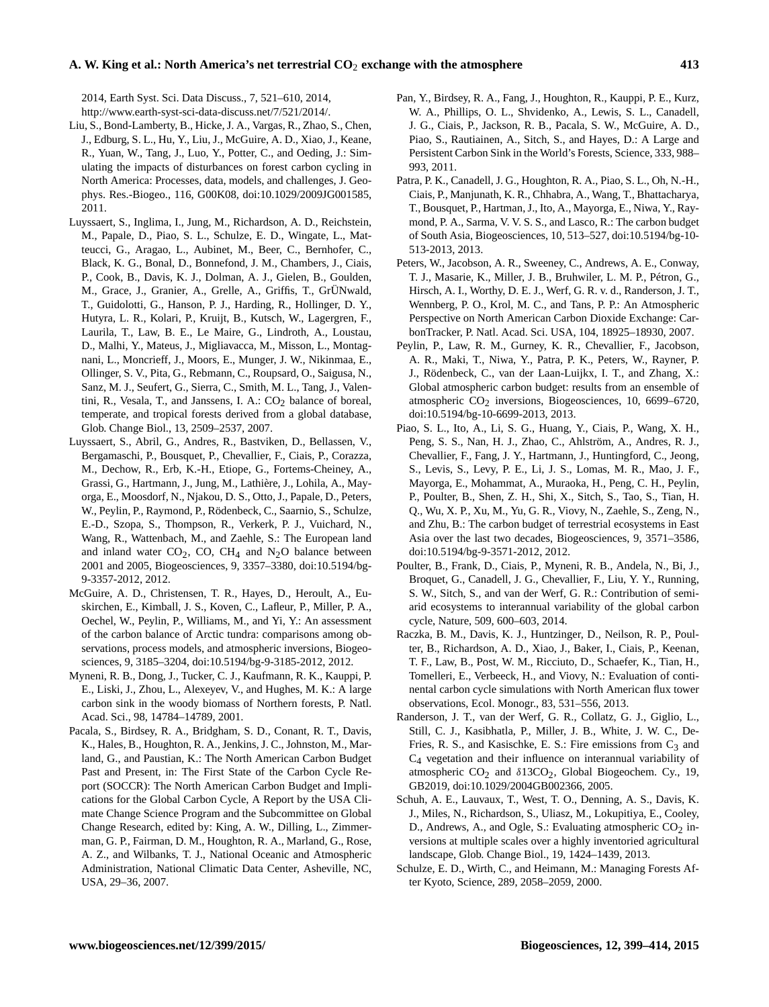2014, Earth Syst. Sci. Data Discuss., 7, 521–610, 2014, [http://www.earth-syst-sci-data-discuss.net/7/521/2014/.](http://www.earth-syst-sci-data-discuss.net/7/521/2014/)

- Liu, S., Bond-Lamberty, B., Hicke, J. A., Vargas, R., Zhao, S., Chen, J., Edburg, S. L., Hu, Y., Liu, J., McGuire, A. D., Xiao, J., Keane, R., Yuan, W., Tang, J., Luo, Y., Potter, C., and Oeding, J.: Simulating the impacts of disturbances on forest carbon cycling in North America: Processes, data, models, and challenges, J. Geophys. Res.-Biogeo., 116, G00K08, doi[:10.1029/2009JG001585,](http://dx.doi.org/10.1029/2009JG001585) 2011.
- Luyssaert, S., Inglima, I., Jung, M., Richardson, A. D., Reichstein, M., Papale, D., Piao, S. L., Schulze, E. D., Wingate, L., Matteucci, G., Aragao, L., Aubinet, M., Beer, C., Bernhofer, C., Black, K. G., Bonal, D., Bonnefond, J. M., Chambers, J., Ciais, P., Cook, B., Davis, K. J., Dolman, A. J., Gielen, B., Goulden, M., Grace, J., Granier, A., Grelle, A., Griffis, T., GrÜNwald, T., Guidolotti, G., Hanson, P. J., Harding, R., Hollinger, D. Y., Hutyra, L. R., Kolari, P., Kruijt, B., Kutsch, W., Lagergren, F., Laurila, T., Law, B. E., Le Maire, G., Lindroth, A., Loustau, D., Malhi, Y., Mateus, J., Migliavacca, M., Misson, L., Montagnani, L., Moncrieff, J., Moors, E., Munger, J. W., Nikinmaa, E., Ollinger, S. V., Pita, G., Rebmann, C., Roupsard, O., Saigusa, N., Sanz, M. J., Seufert, G., Sierra, C., Smith, M. L., Tang, J., Valentini, R., Vesala, T., and Janssens, I. A.:  $CO<sub>2</sub>$  balance of boreal, temperate, and tropical forests derived from a global database, Glob. Change Biol., 13, 2509–2537, 2007.
- Luyssaert, S., Abril, G., Andres, R., Bastviken, D., Bellassen, V., Bergamaschi, P., Bousquet, P., Chevallier, F., Ciais, P., Corazza, M., Dechow, R., Erb, K.-H., Etiope, G., Fortems-Cheiney, A., Grassi, G., Hartmann, J., Jung, M., Lathière, J., Lohila, A., Mayorga, E., Moosdorf, N., Njakou, D. S., Otto, J., Papale, D., Peters, W., Peylin, P., Raymond, P., Rödenbeck, C., Saarnio, S., Schulze, E.-D., Szopa, S., Thompson, R., Verkerk, P. J., Vuichard, N., Wang, R., Wattenbach, M., and Zaehle, S.: The European land and inland water  $CO_2$ , CO, CH<sub>4</sub> and N<sub>2</sub>O balance between 2001 and 2005, Biogeosciences, 9, 3357–3380, doi[:10.5194/bg-](http://dx.doi.org/10.5194/bg-9-3357-2012)[9-3357-2012,](http://dx.doi.org/10.5194/bg-9-3357-2012) 2012.
- McGuire, A. D., Christensen, T. R., Hayes, D., Heroult, A., Euskirchen, E., Kimball, J. S., Koven, C., Lafleur, P., Miller, P. A., Oechel, W., Peylin, P., Williams, M., and Yi, Y.: An assessment of the carbon balance of Arctic tundra: comparisons among observations, process models, and atmospheric inversions, Biogeosciences, 9, 3185–3204, doi[:10.5194/bg-9-3185-2012,](http://dx.doi.org/10.5194/bg-9-3185-2012) 2012.
- Myneni, R. B., Dong, J., Tucker, C. J., Kaufmann, R. K., Kauppi, P. E., Liski, J., Zhou, L., Alexeyev, V., and Hughes, M. K.: A large carbon sink in the woody biomass of Northern forests, P. Natl. Acad. Sci., 98, 14784–14789, 2001.
- Pacala, S., Birdsey, R. A., Bridgham, S. D., Conant, R. T., Davis, K., Hales, B., Houghton, R. A., Jenkins, J. C., Johnston, M., Marland, G., and Paustian, K.: The North American Carbon Budget Past and Present, in: The First State of the Carbon Cycle Report (SOCCR): The North American Carbon Budget and Implications for the Global Carbon Cycle, A Report by the USA Climate Change Science Program and the Subcommittee on Global Change Research, edited by: King, A. W., Dilling, L., Zimmerman, G. P., Fairman, D. M., Houghton, R. A., Marland, G., Rose, A. Z., and Wilbanks, T. J., National Oceanic and Atmospheric Administration, National Climatic Data Center, Asheville, NC, USA, 29–36, 2007.
- Pan, Y., Birdsey, R. A., Fang, J., Houghton, R., Kauppi, P. E., Kurz, W. A., Phillips, O. L., Shvidenko, A., Lewis, S. L., Canadell, J. G., Ciais, P., Jackson, R. B., Pacala, S. W., McGuire, A. D., Piao, S., Rautiainen, A., Sitch, S., and Hayes, D.: A Large and Persistent Carbon Sink in the World's Forests, Science, 333, 988– 993, 2011.
- Patra, P. K., Canadell, J. G., Houghton, R. A., Piao, S. L., Oh, N.-H., Ciais, P., Manjunath, K. R., Chhabra, A., Wang, T., Bhattacharya, T., Bousquet, P., Hartman, J., Ito, A., Mayorga, E., Niwa, Y., Raymond, P. A., Sarma, V. V. S. S., and Lasco, R.: The carbon budget of South Asia, Biogeosciences, 10, 513–527, doi[:10.5194/bg-10-](http://dx.doi.org/10.5194/bg-10-513-2013) [513-2013,](http://dx.doi.org/10.5194/bg-10-513-2013) 2013.
- Peters, W., Jacobson, A. R., Sweeney, C., Andrews, A. E., Conway, T. J., Masarie, K., Miller, J. B., Bruhwiler, L. M. P., Pétron, G., Hirsch, A. I., Worthy, D. E. J., Werf, G. R. v. d., Randerson, J. T., Wennberg, P. O., Krol, M. C., and Tans, P. P.: An Atmospheric Perspective on North American Carbon Dioxide Exchange: CarbonTracker, P. Natl. Acad. Sci. USA, 104, 18925–18930, 2007.
- Peylin, P., Law, R. M., Gurney, K. R., Chevallier, F., Jacobson, A. R., Maki, T., Niwa, Y., Patra, P. K., Peters, W., Rayner, P. J., Rödenbeck, C., van der Laan-Luijkx, I. T., and Zhang, X.: Global atmospheric carbon budget: results from an ensemble of atmospheric  $CO<sub>2</sub>$  inversions, Biogeosciences, 10, 6699–6720, doi[:10.5194/bg-10-6699-2013,](http://dx.doi.org/10.5194/bg-10-6699-2013) 2013.
- Piao, S. L., Ito, A., Li, S. G., Huang, Y., Ciais, P., Wang, X. H., Peng, S. S., Nan, H. J., Zhao, C., Ahlström, A., Andres, R. J., Chevallier, F., Fang, J. Y., Hartmann, J., Huntingford, C., Jeong, S., Levis, S., Levy, P. E., Li, J. S., Lomas, M. R., Mao, J. F., Mayorga, E., Mohammat, A., Muraoka, H., Peng, C. H., Peylin, P., Poulter, B., Shen, Z. H., Shi, X., Sitch, S., Tao, S., Tian, H. Q., Wu, X. P., Xu, M., Yu, G. R., Viovy, N., Zaehle, S., Zeng, N., and Zhu, B.: The carbon budget of terrestrial ecosystems in East Asia over the last two decades, Biogeosciences, 9, 3571–3586, doi[:10.5194/bg-9-3571-2012,](http://dx.doi.org/10.5194/bg-9-3571-2012) 2012.
- Poulter, B., Frank, D., Ciais, P., Myneni, R. B., Andela, N., Bi, J., Broquet, G., Canadell, J. G., Chevallier, F., Liu, Y. Y., Running, S. W., Sitch, S., and van der Werf, G. R.: Contribution of semiarid ecosystems to interannual variability of the global carbon cycle, Nature, 509, 600–603, 2014.
- Raczka, B. M., Davis, K. J., Huntzinger, D., Neilson, R. P., Poulter, B., Richardson, A. D., Xiao, J., Baker, I., Ciais, P., Keenan, T. F., Law, B., Post, W. M., Ricciuto, D., Schaefer, K., Tian, H., Tomelleri, E., Verbeeck, H., and Viovy, N.: Evaluation of continental carbon cycle simulations with North American flux tower observations, Ecol. Monogr., 83, 531–556, 2013.
- Randerson, J. T., van der Werf, G. R., Collatz, G. J., Giglio, L., Still, C. J., Kasibhatla, P., Miller, J. B., White, J. W. C., De-Fries, R. S., and Kasischke, E. S.: Fire emissions from  $C_3$  and C4 vegetation and their influence on interannual variability of atmospheric  $CO<sub>2</sub>$  and  $\delta$ 13CO<sub>2</sub>, Global Biogeochem. Cy., 19, GB2019, doi[:10.1029/2004GB002366,](http://dx.doi.org/10.1029/2004GB002366) 2005.
- Schuh, A. E., Lauvaux, T., West, T. O., Denning, A. S., Davis, K. J., Miles, N., Richardson, S., Uliasz, M., Lokupitiya, E., Cooley, D., Andrews, A., and Ogle, S.: Evaluating atmospheric  $CO<sub>2</sub>$  inversions at multiple scales over a highly inventoried agricultural landscape, Glob. Change Biol., 19, 1424–1439, 2013.
- Schulze, E. D., Wirth, C., and Heimann, M.: Managing Forests After Kyoto, Science, 289, 2058–2059, 2000.